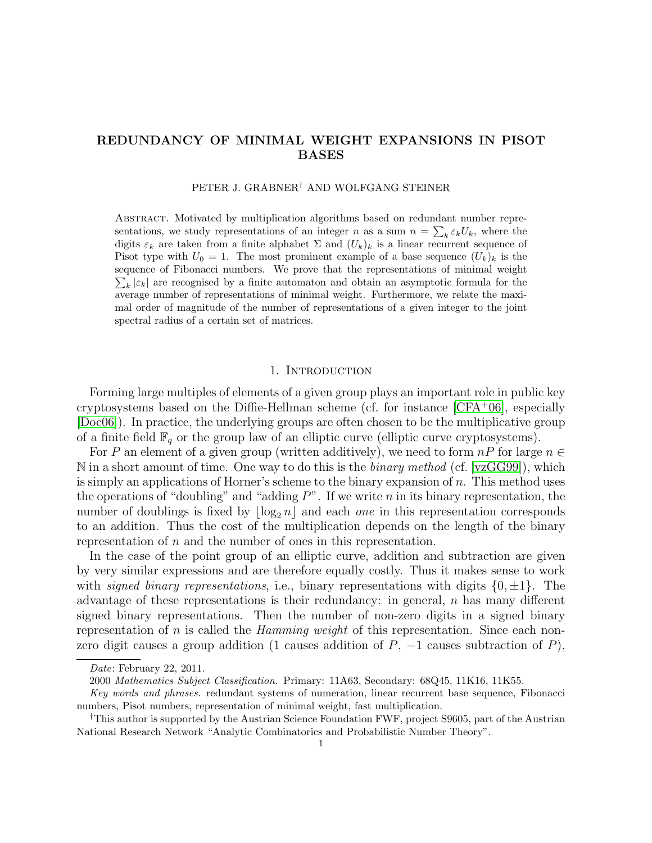# REDUNDANCY OF MINIMAL WEIGHT EXPANSIONS IN PISOT BASES

### PETER J. GRABNER† AND WOLFGANG STEINER

Abstract. Motivated by multiplication algorithms based on redundant number representations, we study representations of an integer n as a sum  $n = \sum_{k} \varepsilon_k U_k$ , where the digits  $\varepsilon_k$  are taken from a finite alphabet  $\Sigma$  and  $(U_k)_k$  is a linear recurrent sequence of Pisot type with  $U_0 = 1$ . The most prominent example of a base sequence  $(U_k)_k$  is the sequence of Fibonacci numbers. We prove that the representations of minimal weight  $\sum_{k} |\varepsilon_{k}|$  are recognised by a finite automaton and obtain an asymptotic formula for the average number of representations of minimal weight. Furthermore, we relate the maximal order of magnitude of the number of representations of a given integer to the joint spectral radius of a certain set of matrices.

#### 1. INTRODUCTION

Forming large multiples of elements of a given group plays an important role in public key cryptosystems based on the Diffie-Hellman scheme (cf. for instance  $|CFA^+06|$ , especially [\[Doc06\]](#page-18-1)). In practice, the underlying groups are often chosen to be the multiplicative group of a finite field  $\mathbb{F}_q$  or the group law of an elliptic curve (elliptic curve cryptosystems).

For P an element of a given group (written additively), we need to form  $nP$  for large  $n \in$ N in a short amount of time. One way to do this is the *binary method* (cf. [\[vzGG99\]](#page-18-2)), which is simply an applications of Horner's scheme to the binary expansion of  $n$ . This method uses the operations of "doubling" and "adding  $P$ ". If we write n in its binary representation, the number of doublings is fixed by  $\lfloor \log_2 n \rfloor$  and each one in this representation corresponds to an addition. Thus the cost of the multiplication depends on the length of the binary representation of  $n$  and the number of ones in this representation.

In the case of the point group of an elliptic curve, addition and subtraction are given by very similar expressions and are therefore equally costly. Thus it makes sense to work with *signed binary representations*, i.e., binary representations with digits  $\{0, \pm 1\}$ . The advantage of these representations is their redundancy: in general,  $n$  has many different signed binary representations. Then the number of non-zero digits in a signed binary representation of n is called the *Hamming weight* of this representation. Since each nonzero digit causes a group addition (1 causes addition of  $P$ ,  $-1$  causes subtraction of  $P$ ),

Date: February 22, 2011.

<sup>2000</sup> Mathematics Subject Classification. Primary: 11A63, Secondary: 68Q45, 11K16, 11K55.

Key words and phrases. redundant systems of numeration, linear recurrent base sequence, Fibonacci numbers, Pisot numbers, representation of minimal weight, fast multiplication.

<sup>†</sup>This author is supported by the Austrian Science Foundation FWF, project S9605, part of the Austrian National Research Network "Analytic Combinatorics and Probabilistic Number Theory".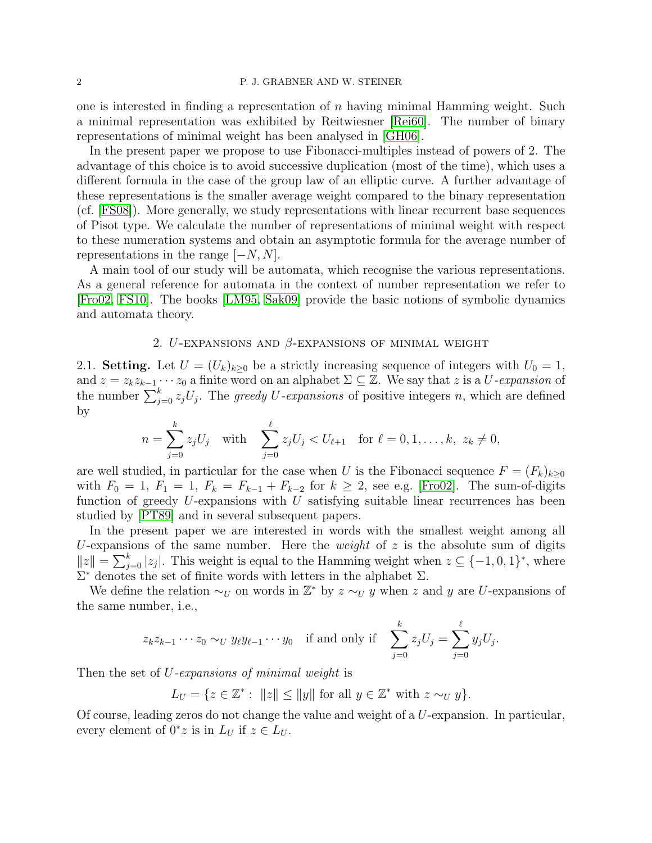one is interested in finding a representation of  $n$  having minimal Hamming weight. Such a minimal representation was exhibited by Reitwiesner [\[Rei60\]](#page-18-3). The number of binary representations of minimal weight has been analysed in [\[GH06\]](#page-18-4).

In the present paper we propose to use Fibonacci-multiples instead of powers of 2. The advantage of this choice is to avoid successive duplication (most of the time), which uses a different formula in the case of the group law of an elliptic curve. A further advantage of these representations is the smaller average weight compared to the binary representation (cf. [\[FS08\]](#page-18-5)). More generally, we study representations with linear recurrent base sequences of Pisot type. We calculate the number of representations of minimal weight with respect to these numeration systems and obtain an asymptotic formula for the average number of representations in the range  $[-N, N]$ .

A main tool of our study will be automata, which recognise the various representations. As a general reference for automata in the context of number representation we refer to [\[Fro02,](#page-18-6) [FS10\]](#page-18-7). The books [\[LM95,](#page-18-8) [Sak09\]](#page-18-9) provide the basic notions of symbolic dynamics and automata theory.

## 2.  $U$ -expansions and  $\beta$ -expansions of minimal weight

<span id="page-1-0"></span>2.1. Setting. Let  $U = (U_k)_{k \geq 0}$  be a strictly increasing sequence of integers with  $U_0 = 1$ , and  $z = z_k z_{k-1} \cdots z_0$  a finite word on an alphabet  $\Sigma \subseteq \mathbb{Z}$ . We say that z is a U-expansion of the number  $\sum_{j=0}^{k} z_j U_j$ . The greedy U-expansions of positive integers n, which are defined by

$$
n = \sum_{j=0}^{k} z_j U_j \text{ with } \sum_{j=0}^{\ell} z_j U_j < U_{\ell+1} \text{ for } \ell = 0, 1, ..., k, \ z_k \neq 0,
$$

are well studied, in particular for the case when U is the Fibonacci sequence  $F = (F_k)_{k \geq 0}$ with  $F_0 = 1$ ,  $F_1 = 1$ ,  $F_k = F_{k-1} + F_{k-2}$  for  $k \ge 2$ , see e.g. [\[Fro02\]](#page-18-6). The sum-of-digits function of greedy  $U$ -expansions with  $U$  satisfying suitable linear recurrences has been studied by [\[PT89\]](#page-18-10) and in several subsequent papers.

In the present paper we are interested in words with the smallest weight among all U-expansions of the same number. Here the *weight* of  $z$  is the absolute sum of digits  $||z|| = \sum_{j=0}^{k} |z_j|$ . This weight is equal to the Hamming weight when  $z \subseteq \{-1,0,1\}^*$ , where  $\Sigma^*$  denotes the set of finite words with letters in the alphabet  $\Sigma$ .

We define the relation  $\sim_U$  on words in  $\mathbb{Z}^*$  by  $z \sim_U y$  when z and y are U-expansions of the same number, i.e.,

$$
z_k z_{k-1} \cdots z_0 \sim_U y_\ell y_{\ell-1} \cdots y_0 \quad \text{if and only if} \quad \sum_{j=0}^k z_j U_j = \sum_{j=0}^\ell y_j U_j.
$$

Then the set of U-expansions of minimal weight is

 $L_U = \{ z \in \mathbb{Z}^* : ||z|| \le ||y|| \text{ for all } y \in \mathbb{Z}^* \text{ with } z \sim_U y \}.$ 

Of course, leading zeros do not change the value and weight of a U-expansion. In particular, every element of  $0^*z$  is in  $L_U$  if  $z \in L_U$ .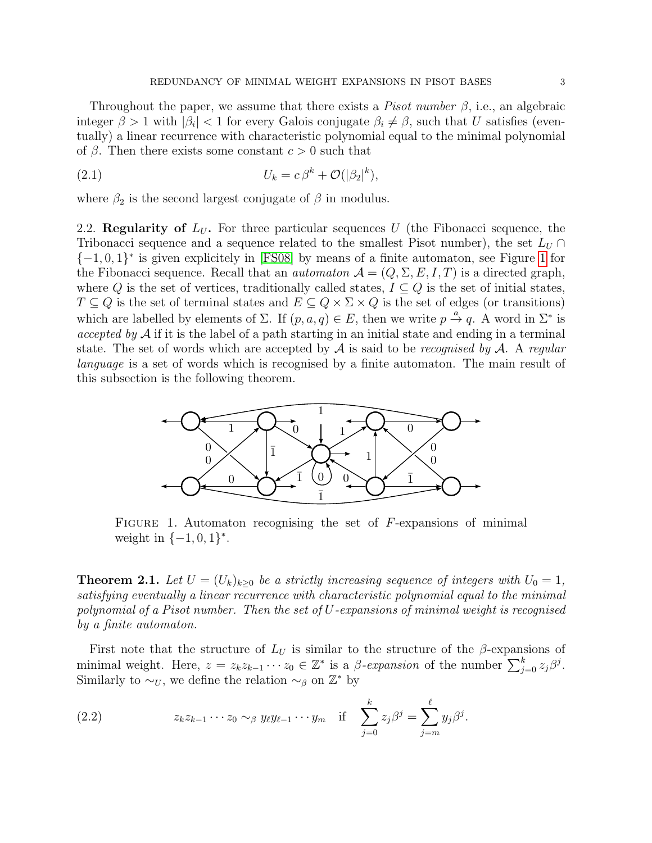Throughout the paper, we assume that there exists a *Pisot number*  $\beta$ , i.e., an algebraic integer  $\beta > 1$  with  $|\beta_i| < 1$  for every Galois conjugate  $\beta_i \neq \beta$ , such that U satisfies (eventually) a linear recurrence with characteristic polynomial equal to the minimal polynomial of  $\beta$ . Then there exists some constant  $c > 0$  such that

<span id="page-2-3"></span>(2.1) 
$$
U_k = c\,\beta^k + \mathcal{O}(|\beta_2|^k),
$$

where  $\beta_2$  is the second largest conjugate of  $\beta$  in modulus.

2.2. Regularity of  $L_U$ . For three particular sequences U (the Fibonacci sequence, the Tribonacci sequence and a sequence related to the smallest Pisot number), the set  $L_U \cap$  $\{-1,0,1\}^*$  is given explicitely in [\[FS08\]](#page-18-5) by means of a finite automaton, see Figure [1](#page-2-0) for the Fibonacci sequence. Recall that an *automaton*  $\mathcal{A} = (Q, \Sigma, E, I, T)$  is a directed graph, where Q is the set of vertices, traditionally called states,  $I \subseteq Q$  is the set of initial states,  $T \subseteq Q$  is the set of terminal states and  $E \subseteq Q \times \Sigma \times Q$  is the set of edges (or transitions) which are labelled by elements of  $\Sigma$ . If  $(p, a, q) \in E$ , then we write  $p \stackrel{a}{\rightarrow} q$ . A word in  $\Sigma^*$  is accepted by  $A$  if it is the label of a path starting in an initial state and ending in a terminal state. The set of words which are accepted by  $A$  is said to be *recognised by*  $A$ . A *regular* language is a set of words which is recognised by a finite automaton. The main result of this subsection is the following theorem.



<span id="page-2-0"></span>FIGURE 1. Automaton recognising the set of  $F$ -expansions of minimal weight in  $\{-1, 0, 1\}^*$ .

<span id="page-2-2"></span>**Theorem 2.1.** Let  $U = (U_k)_{k>0}$  be a strictly increasing sequence of integers with  $U_0 = 1$ , satisfying eventually a linear recurrence with characteristic polynomial equal to the minimal polynomial of a Pisot number. Then the set of  $U$ -expansions of minimal weight is recognised by a finite automaton.

First note that the structure of  $L_U$  is similar to the structure of the  $\beta$ -expansions of minimal weight. Here,  $z = z_k z_{k-1} \cdots z_0 \in \mathbb{Z}^*$  is a  $\beta$ -expansion of the number  $\sum_{j=0}^k z_j \beta^j$ . Similarly to  $\sim_U$ , we define the relation  $\sim_\beta$  on  $\mathbb{Z}^*$  by

<span id="page-2-1"></span>(2.2) 
$$
z_k z_{k-1} \cdots z_0 \sim_\beta y_\ell y_{\ell-1} \cdots y_m \quad \text{if} \quad \sum_{j=0}^k z_j \beta^j = \sum_{j=m}^\ell y_j \beta^j.
$$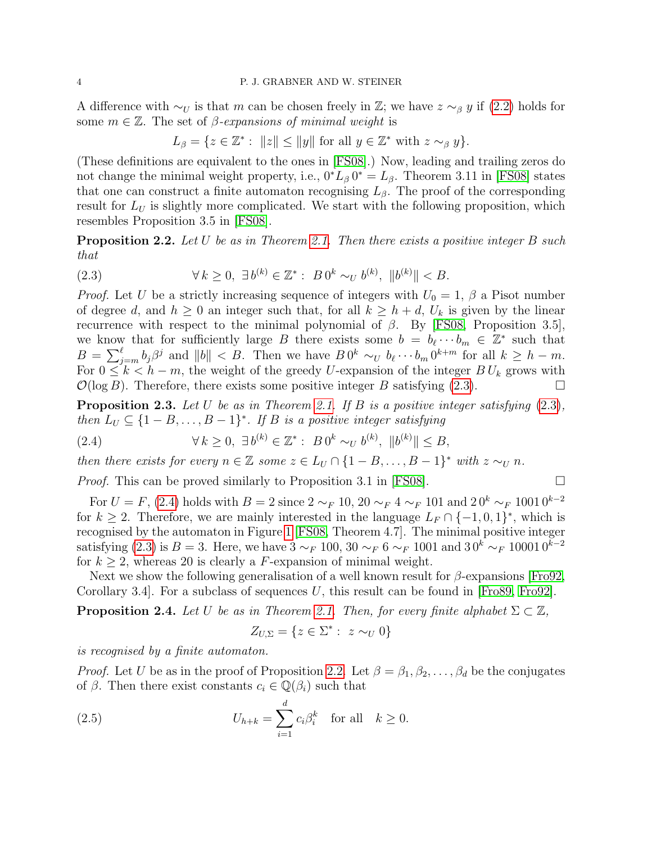A difference with  $\sim_U$  is that m can be chosen freely in Z; we have  $z \sim_\beta y$  if [\(2.2\)](#page-2-1) holds for some  $m \in \mathbb{Z}$ . The set of *β*-expansions of minimal weight is

$$
L_{\beta} = \{ z \in \mathbb{Z}^* : ||z|| \le ||y|| \text{ for all } y \in \mathbb{Z}^* \text{ with } z \sim_{\beta} y \}.
$$

(These definitions are equivalent to the ones in [\[FS08\]](#page-18-5).) Now, leading and trailing zeros do not change the minimal weight property, i.e.,  $0^*L_{\beta} 0^* = L_{\beta}$ . Theorem 3.11 in [\[FS08\]](#page-18-5) states that one can construct a finite automaton recognising  $L_{\beta}$ . The proof of the corresponding result for  $L_U$  is slightly more complicated. We start with the following proposition, which resembles Proposition 3.5 in [\[FS08\]](#page-18-5).

<span id="page-3-2"></span>**Proposition 2.2.** Let U be as in Theorem [2.1.](#page-2-2) Then there exists a positive integer B such that

<span id="page-3-0"></span>(2.3) 
$$
\forall k \ge 0, \ \exists b^{(k)} \in \mathbb{Z}^* : B 0^k \sim_{U} b^{(k)}, \ ||b^{(k)}|| < B.
$$

*Proof.* Let U be a strictly increasing sequence of integers with  $U_0 = 1$ ,  $\beta$  a Pisot number of degree d, and  $h \geq 0$  an integer such that, for all  $k \geq h + d$ ,  $U_k$  is given by the linear recurrence with respect to the minimal polynomial of  $β$ . By [\[FS08,](#page-18-5) Proposition 3.5], we know that for sufficiently large B there exists some  $b = b_{\ell} \cdots b_m \in \mathbb{Z}^*$  such that  $B = \sum_{j=m}^{\ell} b_j \beta^j$  and  $||b|| < B$ . Then we have  $B 0^k \sim_{U} b_{\ell} \cdots b_m 0^{k+m}$  for all  $k \geq h - m$ . For  $0 \leq k \leq h-m$ , the weight of the greedy U-expansion of the integer  $B U_k$  grows with  $\mathcal{O}(\log B)$ . Therefore, there exists some positive integer B satisfying [\(2.3\)](#page-3-0).

<span id="page-3-4"></span>**Proposition 2.3.** Let U be as in Theorem [2.1.](#page-2-2) If B is a positive integer satisfying  $(2.3)$ , then  $L_U \subseteq \{1 - B, \ldots, B - 1\}^*$ . If B is a positive integer satisfying

<span id="page-3-1"></span>(2.4) 
$$
\forall k \geq 0, \ \exists b^{(k)} \in \mathbb{Z}^* : B 0^k \sim_{U} b^{(k)}, \ ||b^{(k)}|| \leq B,
$$

then there exists for every  $n \in \mathbb{Z}$  some  $z \in L_U \cap \{1 - B, \ldots, B - 1\}^*$  with  $z \sim_U n$ .

*Proof.* This can be proved similarly to Proposition 3.1 in [\[FS08\]](#page-18-5).  $\Box$ 

For  $U = F$ , [\(2.4\)](#page-3-1) holds with  $B = 2$  since  $2 \sim_F 10$ ,  $20 \sim_F 4 \sim_F 101$  and  $20^k \sim_F 10010^{k-2}$ for  $k \geq 2$ . Therefore, we are mainly interested in the language  $L_F \cap \{-1,0,1\}^*$ , which is recognised by the automaton in Figure [1](#page-2-0) [\[FS08,](#page-18-5) Theorem 4.7]. The minimal positive integer satisfying [\(2.3\)](#page-3-0) is  $B = 3$ . Here, we have  $3 \sim_F 100$ ,  $30 \sim_F 6 \sim_F 1001$  and  $30^k \sim_F 100010^{k-2}$ for  $k \geq 2$ , whereas 20 is clearly a F-expansion of minimal weight.

Next we show the following generalisation of a well known result for  $\beta$ -expansions [\[Fro92,](#page-18-11) Corollary 3.4. For a subclass of sequences U, this result can be found in  $[Fe89, Fe92]$ .

<span id="page-3-5"></span>**Proposition 2.4.** Let U be as in Theorem [2.1.](#page-2-2) Then, for every finite alphabet  $\Sigma \subset \mathbb{Z}$ ,

<span id="page-3-3"></span>
$$
Z_{U,\Sigma} = \{ z \in \Sigma^* : z \sim_U 0 \}
$$

is recognised by a finite automaton.

*Proof.* Let U be as in the proof of Proposition [2.2.](#page-3-2) Let  $\beta = \beta_1, \beta_2, \ldots, \beta_d$  be the conjugates of  $\beta$ . Then there exist constants  $c_i \in \mathbb{Q}(\beta_i)$  such that

(2.5) 
$$
U_{h+k} = \sum_{i=1}^d c_i \beta_i^k \quad \text{for all} \quad k \ge 0.
$$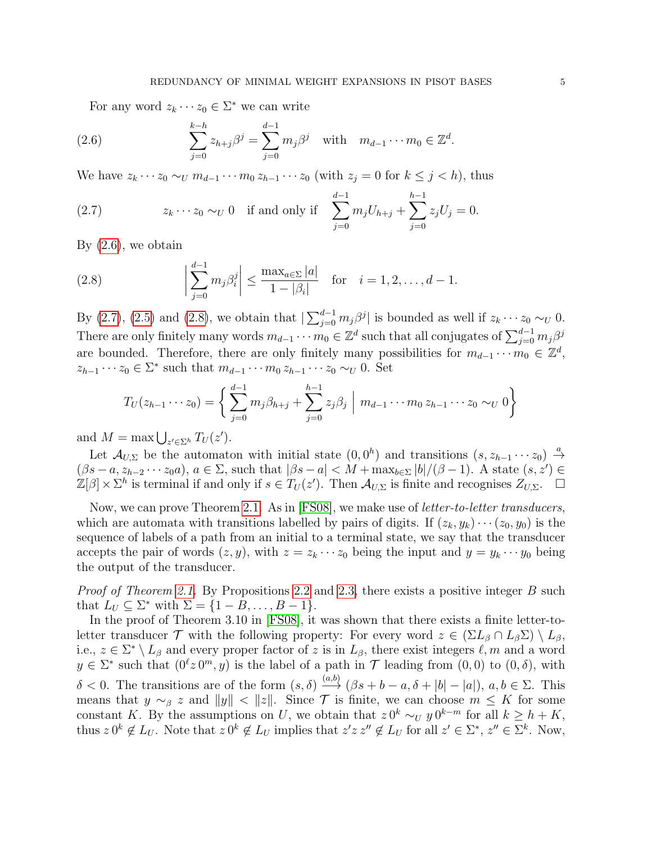<span id="page-4-0"></span>For any word  $z_k \cdots z_0 \in \Sigma^*$  we can write

(2.6) 
$$
\sum_{j=0}^{k-h} z_{h+j} \beta^j = \sum_{j=0}^{d-1} m_j \beta^j \text{ with } m_{d-1} \cdots m_0 \in \mathbb{Z}^d.
$$

We have  $z_k \cdots z_0 \sim_U m_{d-1} \cdots m_0 z_{h-1} \cdots z_0$  (with  $z_j = 0$  for  $k \leq j < h$ ), thus

<span id="page-4-1"></span>(2.7) 
$$
z_k \cdots z_0 \sim_U 0 \quad \text{if and only if} \quad \sum_{j=0}^{d-1} m_j U_{h+j} + \sum_{j=0}^{h-1} z_j U_j = 0.
$$

By  $(2.6)$ , we obtain

<span id="page-4-2"></span>(2.8) 
$$
\left| \sum_{j=0}^{d-1} m_j \beta_i^j \right| \leq \frac{\max_{a \in \Sigma} |a|}{1 - |\beta_i|} \text{ for } i = 1, 2, ..., d - 1.
$$

By [\(2.7\)](#page-4-1), [\(2.5\)](#page-3-3) and [\(2.8\)](#page-4-2), we obtain that  $\sum_{j=0}^{d-1} m_j \beta^j$  is bounded as well if  $z_k \cdots z_0 \sim_U 0$ . There are only finitely many words  $m_{d-1} \cdots m_0 \in \mathbb{Z}^d$  such that all conjugates of  $\sum_{j=0}^{d-1} m_j \beta^j$ are bounded. Therefore, there are only finitely many possibilities for  $m_{d-1} \cdots m_0 \in \mathbb{Z}^d$ ,  $z_{h-1}\cdots z_0 \in \Sigma^*$  such that  $m_{d-1}\cdots m_0 z_{h-1}\cdots z_0 \sim_U 0$ . Set

$$
T_U(z_{h-1}\cdots z_0) = \left\{ \sum_{j=0}^{d-1} m_j \beta_{h+j} + \sum_{j=0}^{h-1} z_j \beta_j \mid m_{d-1}\cdots m_0 z_{h-1} \cdots z_0 \sim_U 0 \right\}
$$

and  $M = \max \bigcup_{z' \in \Sigma^h} T_U(z')$ .

Let  $\mathcal{A}_{U,\Sigma}$  be the automaton with initial state  $(0,0^h)$  and transitions  $(s, z_{h-1} \cdots z_0) \stackrel{a}{\rightarrow}$  $(\beta s - a, z_{h-2} \cdots z_0 a), a \in \Sigma$ , such that  $|\beta s - a| < M + \max_{b \in \Sigma} |b|/(\beta - 1)$ . A state  $(s, z') \in$  $\mathbb{Z}[\beta] \times \Sigma^h$  is terminal if and only if  $s \in T_U(z')$ . Then  $\mathcal{A}_{U,\Sigma}$  is finite and recognises  $Z_{U,\Sigma}$ .  $\square$ 

Now, we can prove Theorem [2.1.](#page-2-2) As in [\[FS08\]](#page-18-5), we make use of letter-to-letter transducers, which are automata with transitions labelled by pairs of digits. If  $(z_k, y_k) \cdots (z_0, y_0)$  is the sequence of labels of a path from an initial to a terminal state, we say that the transducer accepts the pair of words  $(z, y)$ , with  $z = z_k \cdots z_0$  being the input and  $y = y_k \cdots y_0$  being the output of the transducer.

Proof of Theorem [2.1.](#page-2-2) By Propositions [2.2](#page-3-2) and [2.3,](#page-3-4) there exists a positive integer B such that  $L_U \subseteq \Sigma^*$  with  $\Sigma = \{1 - B, \ldots, B - 1\}.$ 

In the proof of Theorem 3.10 in [\[FS08\]](#page-18-5), it was shown that there exists a finite letter-toletter transducer  $\mathcal T$  with the following property: For every word  $z \in (\Sigma L_{\beta} \cap L_{\beta} \Sigma) \setminus L_{\beta}$ , i.e.,  $z \in \Sigma^* \setminus L_\beta$  and every proper factor of z is in  $L_\beta$ , there exist integers  $\ell, m$  and a word  $y \in \Sigma^*$  such that  $(0^{\ell}z 0^m, y)$  is the label of a path in T leading from  $(0, 0)$  to  $(0, \delta)$ , with δ < 0. The transitions are of the form  $(s, δ) \stackrel{(a,b)}{\longrightarrow} (βs + b - a, δ + |b| - |a|)$ ,  $a, b ∈ Σ$ . This means that  $y \sim_\beta z$  and  $||y|| < ||z||$ . Since T is finite, we can choose  $m \leq K$  for some constant K. By the assumptions on U, we obtain that  $z 0^k \sim_U y 0^{k-m}$  for all  $k \geq h + K$ , thus  $z \, 0^k \notin L_U$ . Note that  $z \, 0^k \notin L_U$  implies that  $z'z \, z'' \notin L_U$  for all  $z' \in \Sigma^*$ ,  $z'' \in \Sigma^k$ . Now,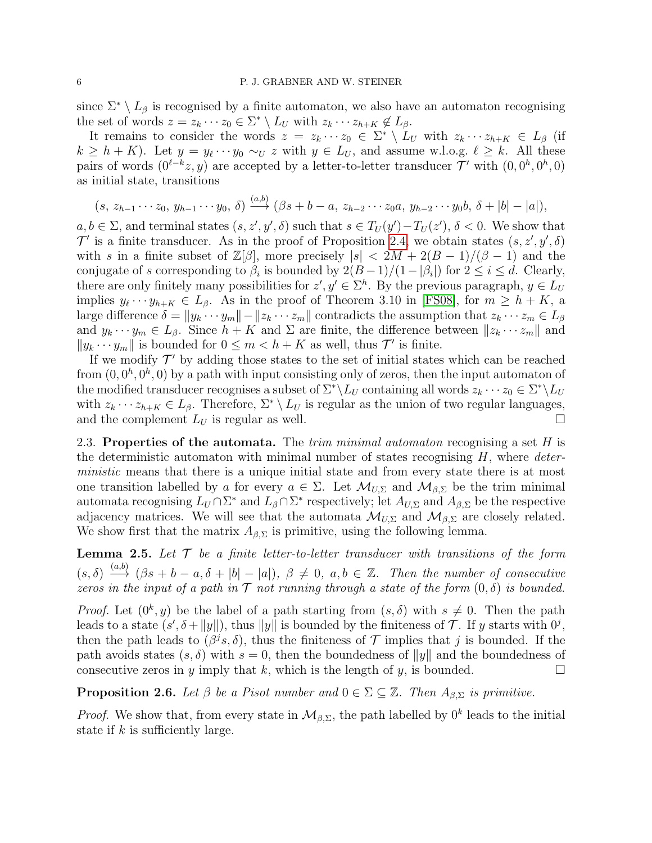since  $\Sigma^* \setminus L_\beta$  is recognised by a finite automaton, we also have an automaton recognising the set of words  $z = z_k \cdots z_0 \in \Sigma^* \setminus L_U$  with  $z_k \cdots z_{h+K} \notin L_\beta$ .

It remains to consider the words  $z = z_k \cdots z_0 \in \Sigma^* \setminus L_U$  with  $z_k \cdots z_{h+K} \in L_\beta$  (if  $k \geq h + K$ ). Let  $y = y_{\ell} \cdots y_0 \sim_U z$  with  $y \in L_U$ , and assume w.l.o.g.  $\ell \geq k$ . All these pairs of words  $(0^{l-k}z, y)$  are accepted by a letter-to-letter transducer  $\mathcal{T}'$  with  $(0, 0^h, 0^h, 0)$ as initial state, transitions

$$
(s, z_{h-1} \cdots z_0, y_{h-1} \cdots y_0, \delta) \stackrel{(a,b)}{\longrightarrow} (\beta s + b - a, z_{h-2} \cdots z_0 a, y_{h-2} \cdots y_0 b, \delta + |b| - |a|),
$$

 $a, b \in \Sigma$ , and terminal states  $(s, z', y', \delta)$  such that  $s \in T_U(y') - T_U(z')$ ,  $\delta < 0$ . We show that  $\mathcal{T}'$  is a finite transducer. As in the proof of Proposition [2.4,](#page-3-5) we obtain states  $(s, z', y', \delta)$ with s in a finite subset of  $\mathbb{Z}[\beta]$ , more precisely  $|s| < 2M + 2(B-1)/(\beta-1)$  and the conjugate of s corresponding to  $\beta_i$  is bounded by  $2(B-1)/(1-|\beta_i|)$  for  $2 \le i \le d$ . Clearly, there are only finitely many possibilities for  $z', y' \in \Sigma^h$ . By the previous paragraph,  $y \in L_U$ implies  $y_{\ell} \cdots y_{h+K} \in L_{\beta}$ . As in the proof of Theorem 3.10 in [\[FS08\]](#page-18-5), for  $m \ge h + K$ , a large difference  $\delta = ||y_k \cdots y_m|| - ||z_k \cdots z_m||$  contradicts the assumption that  $z_k \cdots z_m \in L_\beta$ and  $y_k \cdots y_m \in L_\beta$ . Since  $h + K$  and  $\Sigma$  are finite, the difference between  $||z_k \cdots z_m||$  and  $||y_k \cdots y_m||$  is bounded for  $0 \leq m < h + K$  as well, thus  $\mathcal{T}'$  is finite.

If we modify  $\mathcal{T}'$  by adding those states to the set of initial states which can be reached from  $(0, 0^h, 0^h, 0)$  by a path with input consisting only of zeros, then the input automaton of the modified transducer recognises a subset of  $\Sigma^* \backslash L_U$  containing all words  $z_k \cdots z_0 \in \Sigma^* \backslash L_U$ with  $z_k \cdots z_{h+K} \in L_\beta$ . Therefore,  $\Sigma^* \setminus L_U$  is regular as the union of two regular languages, and the complement  $L_U$  is regular as well.

2.3. Properties of the automata. The trim minimal automaton recognising a set  $H$  is the deterministic automaton with minimal number of states recognising  $H$ , where *deter*ministic means that there is a unique initial state and from every state there is at most one transition labelled by a for every  $a \in \Sigma$ . Let  $\mathcal{M}_{U,\Sigma}$  and  $\mathcal{M}_{\beta,\Sigma}$  be the trim minimal automata recognising  $L_U \cap \Sigma^*$  and  $L_\beta \cap \Sigma^*$  respectively; let  $A_{U,\Sigma}$  and  $A_{\beta,\Sigma}$  be the respective adjacency matrices. We will see that the automata  $\mathcal{M}_{U,\Sigma}$  and  $\mathcal{M}_{\beta,\Sigma}$  are closely related. We show first that the matrix  $A_{\beta,\Sigma}$  is primitive, using the following lemma.

<span id="page-5-0"></span>**Lemma 2.5.** Let  $T$  be a finite letter-to-letter transducer with transitions of the form  $(s, \delta) \stackrel{(a,b)}{\longrightarrow} (\beta s + b - a, \delta + |b| - |a|), \ \beta \neq 0, \ a, b \in \mathbb{Z}$ . Then the number of consecutive zeros in the input of a path in  $\mathcal T$  not running through a state of the form  $(0, \delta)$  is bounded.

*Proof.* Let  $(0^k, y)$  be the label of a path starting from  $(s, \delta)$  with  $s \neq 0$ . Then the path leads to a state  $(s', \delta + ||y||)$ , thus  $||y||$  is bounded by the finiteness of T. If y starts with  $0^j$ , then the path leads to  $(\beta^j s, \delta)$ , thus the finiteness of  $\mathcal T$  implies that j is bounded. If the path avoids states  $(s, \delta)$  with  $s = 0$ , then the boundedness of  $||y||$  and the boundedness of consecutive zeros in y imply that k, which is the length of y, is bounded.

<span id="page-5-1"></span>**Proposition 2.6.** Let  $\beta$  be a Pisot number and  $0 \in \Sigma \subseteq \mathbb{Z}$ . Then  $A_{\beta,\Sigma}$  is primitive.

*Proof.* We show that, from every state in  $\mathcal{M}_{\beta,\Sigma}$ , the path labelled by  $0^k$  leads to the initial state if  $k$  is sufficiently large.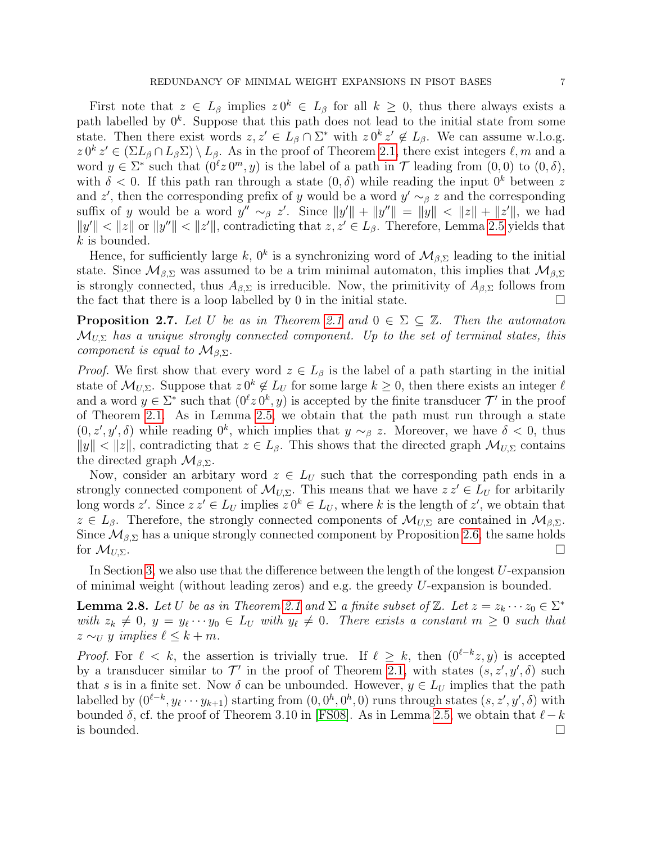First note that  $z \in L_\beta$  implies  $z 0^k \in L_\beta$  for all  $k \geq 0$ , thus there always exists a path labelled by  $0^k$ . Suppose that this path does not lead to the initial state from some state. Then there exist words  $z, z' \in L_{\beta} \cap \Sigma^*$  with  $z 0^k z' \notin L_{\beta}$ . We can assume w.l.o.g.  $z \, 0^k \, z' \in (\Sigma L_\beta \cap L_\beta \Sigma) \setminus L_\beta$ . As in the proof of Theorem [2.1,](#page-2-2) there exist integers  $\ell, m$  and a word  $y \in \Sigma^*$  such that  $(0^{\ell}z 0^m, y)$  is the label of a path in  $\mathcal T$  leading from  $(0, 0)$  to  $(0, \delta)$ , with  $\delta$  < 0. If this path ran through a state  $(0, \delta)$  while reading the input  $0^k$  between z and z', then the corresponding prefix of y would be a word  $y' \sim_\beta z$  and the corresponding suffix of y would be a word  $y'' \sim_{\beta} z'$ . Since  $||y'|| + ||y''|| = ||y|| < ||z|| + ||z'||$ , we had  $||y'|| < ||z||$  or  $||y''|| < ||z'||$ , contradicting that  $z, z' \in L_{\beta}$ . Therefore, Lemma [2.5](#page-5-0) yields that k is bounded.

Hence, for sufficiently large k,  $0^k$  is a synchronizing word of  $\mathcal{M}_{\beta,\Sigma}$  leading to the initial state. Since  $\mathcal{M}_{\beta,\Sigma}$  was assumed to be a trim minimal automaton, this implies that  $\mathcal{M}_{\beta,\Sigma}$ is strongly connected, thus  $A_{\beta,\Sigma}$  is irreducible. Now, the primitivity of  $A_{\beta,\Sigma}$  follows from the fact that there is a loop labelled by 0 in the initial state.

<span id="page-6-1"></span>**Proposition 2.7.** Let U be as in Theorem [2.1](#page-2-2) and  $0 \in \Sigma \subseteq \mathbb{Z}$ . Then the automaton  $\mathcal{M}_{U,\Sigma}$  has a unique strongly connected component. Up to the set of terminal states, this component is equal to  $\mathcal{M}_{\beta,\Sigma}$ .

*Proof.* We first show that every word  $z \in L_\beta$  is the label of a path starting in the initial state of  $\mathcal{M}_{U,\Sigma}$ . Suppose that  $z \, 0^k \notin L_U$  for some large  $k \geq 0$ , then there exists an integer  $\ell$ and a word  $y \in \Sigma^*$  such that  $(0^{\ell}z 0^k, y)$  is accepted by the finite transducer  $\mathcal{T}'$  in the proof of Theorem [2.1.](#page-2-2) As in Lemma [2.5,](#page-5-0) we obtain that the path must run through a state  $(0, z', y', \delta)$  while reading  $0^k$ , which implies that  $y \sim_\beta z$ . Moreover, we have  $\delta < 0$ , thus  $||y|| < ||z||$ , contradicting that  $z \in L_\beta$ . This shows that the directed graph  $\mathcal{M}_{U,\Sigma}$  contains the directed graph  $\mathcal{M}_{\beta,\Sigma}$ .

Now, consider an arbitary word  $z \in L_U$  such that the corresponding path ends in a strongly connected component of  $\mathcal{M}_{U,\Sigma}$ . This means that we have  $z z' \in L_U$  for arbitarily long words z'. Since  $z z' \in L_U$  implies  $z 0^k \in L_U$ , where k is the length of z', we obtain that  $z \in L_{\beta}$ . Therefore, the strongly connected components of  $\mathcal{M}_{U,\Sigma}$  are contained in  $\mathcal{M}_{\beta,\Sigma}$ . Since  $\mathcal{M}_{\beta,\Sigma}$  has a unique strongly connected component by Proposition [2.6,](#page-5-1) the same holds for  $\mathcal{M}_{U,\Sigma}$ .

In Section [3,](#page-7-0) we also use that the difference between the length of the longest  $U$ -expansion of minimal weight (without leading zeros) and e.g. the greedy U-expansion is bounded.

<span id="page-6-0"></span>**Lemma 2.8.** Let U be as in Theorem [2.1](#page-2-2) and  $\Sigma$  a finite subset of  $\mathbb{Z}$ . Let  $z = z_k \cdots z_0 \in \Sigma^*$ with  $z_k \neq 0$ ,  $y = y_\ell \cdots y_0 \in L_U$  with  $y_\ell \neq 0$ . There exists a constant  $m \geq 0$  such that  $z \sim_U y$  implies  $\ell \leq k + m$ .

*Proof.* For  $\ell < k$ , the assertion is trivially true. If  $\ell \geq k$ , then  $(0^{\ell-k}z, y)$  is accepted by a transducer similar to  $\mathcal{T}'$  in the proof of Theorem [2.1,](#page-2-2) with states  $(s, z', y', \delta)$  such that s is in a finite set. Now  $\delta$  can be unbounded. However,  $y \in L_U$  implies that the path labelled by  $(0^{\ell-k}, y_{\ell} \cdots y_{k+1})$  starting from  $(0, 0^h, 0^h, 0)$  runs through states  $(s, z', y', \delta)$  with bounded  $\delta$ , cf. the proof of Theorem 3.10 in [\[FS08\]](#page-18-5). As in Lemma [2.5,](#page-5-0) we obtain that  $\ell-k$ is bounded.  $\Box$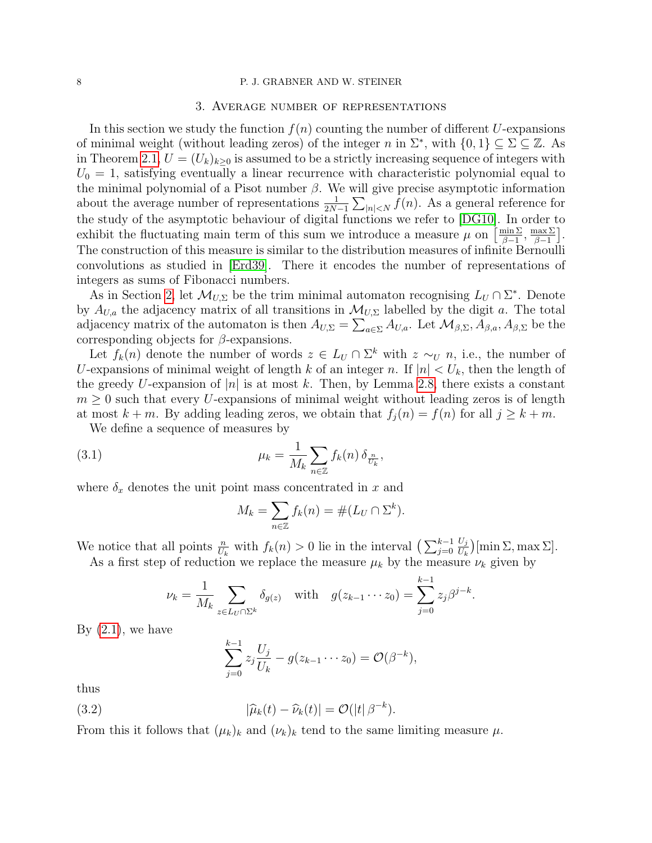#### <span id="page-7-0"></span>8 P. J. GRABNER AND W. STEINER

#### 3. Average number of representations

In this section we study the function  $f(n)$  counting the number of different U-expansions of minimal weight (without leading zeros) of the integer n in  $\Sigma^*$ , with  $\{0,1\} \subseteq \Sigma \subseteq \mathbb{Z}$ . As in Theorem [2.1,](#page-2-2)  $U = (U_k)_{k>0}$  is assumed to be a strictly increasing sequence of integers with  $U_0 = 1$ , satisfying eventually a linear recurrence with characteristic polynomial equal to the minimal polynomial of a Pisot number  $\beta$ . We will give precise asymptotic information about the average number of representations  $\frac{1}{2N-1}\sum_{|n|. As a general reference for$ the study of the asymptotic behaviour of digital functions we refer to [\[DG10\]](#page-18-13). In order to exhibit the fluctuating main term of this sum we introduce a measure  $\mu$  on  $\left[\frac{\min \sum_{i=1}^{n} x_i}{n}\right]$  $\frac{\min \Sigma}{\beta - 1}, \frac{\max \Sigma}{\beta - 1}$  $\frac{\max \Sigma}{\beta - 1}$ . The construction of this measure is similar to the distribution measures of infinite Bernoulli convolutions as studied in [\[Erd39\]](#page-18-14). There it encodes the number of representations of integers as sums of Fibonacci numbers.

As in Section [2,](#page-1-0) let  $\mathcal{M}_{U,\Sigma}$  be the trim minimal automaton recognising  $L_U \cap \Sigma^*$ . Denote by  $A_{U,a}$  the adjacency matrix of all transitions in  $\mathcal{M}_{U,\Sigma}$  labelled by the digit a. The total adjacency matrix of the automaton is then  $A_{U,\Sigma} = \sum_{a \in \Sigma} A_{U,a}$ . Let  $\mathcal{M}_{\beta,\Sigma}, A_{\beta,a}, A_{\beta,\Sigma}$  be the corresponding objects for  $\beta$ -expansions.

Let  $f_k(n)$  denote the number of words  $z \in L_U \cap \Sigma^k$  with  $z \sim_U n$ , i.e., the number of U-expansions of minimal weight of length k of an integer n. If  $|n| < U_k$ , then the length of the greedy U-expansion of |n| is at most k. Then, by Lemma [2.8,](#page-6-0) there exists a constant  $m \geq 0$  such that every U-expansions of minimal weight without leading zeros is of length at most  $k + m$ . By adding leading zeros, we obtain that  $f_i(n) = f(n)$  for all  $j \geq k + m$ .

We define a sequence of measures by

(3.1) 
$$
\mu_k = \frac{1}{M_k} \sum_{n \in \mathbb{Z}} f_k(n) \, \delta_{\frac{n}{U_k}},
$$

where  $\delta_x$  denotes the unit point mass concentrated in x and

<span id="page-7-1"></span>
$$
M_k = \sum_{n \in \mathbb{Z}} f_k(n) = \#(L_U \cap \Sigma^k).
$$

We notice that all points  $\frac{n}{U_k}$  with  $f_k(n) > 0$  lie in the interval  $\left(\sum_{j=0}^{k-1}$  $U_j$  $\frac{U_j}{U_k}$  (min  $\Sigma$ , max  $\Sigma$ ).

As a first step of reduction we replace the measure  $\mu_k$  by the measure  $\nu_k$  given by

$$
\nu_k = \frac{1}{M_k} \sum_{z \in L_U \cap \Sigma^k} \delta_{g(z)}
$$
 with  $g(z_{k-1} \cdots z_0) = \sum_{j=0}^{k-1} z_j \beta^{j-k}.$ 

By  $(2.1)$ , we have

<span id="page-7-2"></span>
$$
\sum_{j=0}^{k-1} z_j \frac{U_j}{U_k} - g(z_{k-1} \cdots z_0) = \mathcal{O}(\beta^{-k}),
$$

thus

(3.2) 
$$
|\widehat{\mu}_k(t) - \widehat{\nu}_k(t)| = \mathcal{O}(|t| \beta^{-k}).
$$

From this it follows that  $(\mu_k)_k$  and  $(\nu_k)_k$  tend to the same limiting measure  $\mu$ .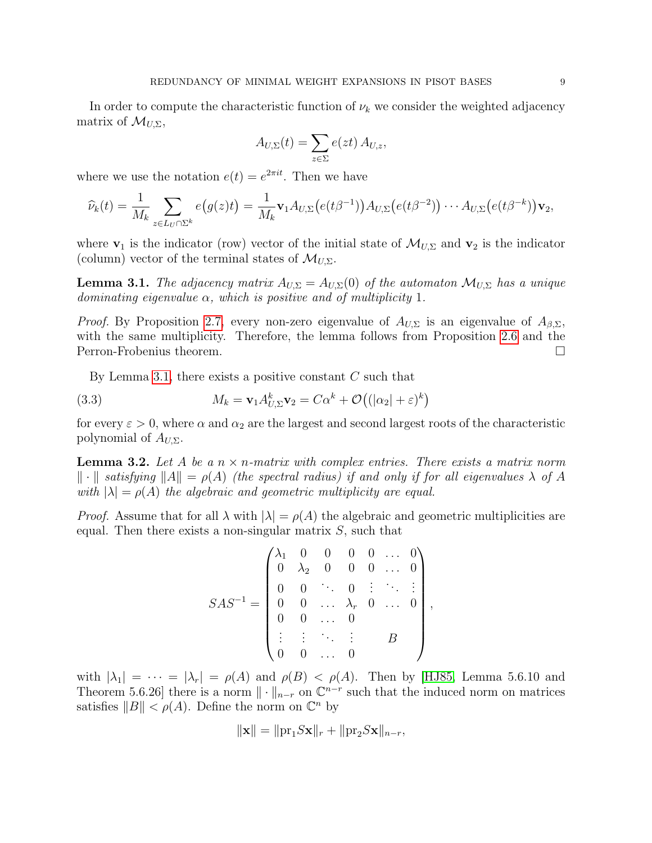In order to compute the characteristic function of  $\nu_k$  we consider the weighted adjacency matrix of  $\mathcal{M}_{U,\Sigma}$ ,

$$
A_{U,\Sigma}(t) = \sum_{z \in \Sigma} e(zt) A_{U,z},
$$

where we use the notation  $e(t) = e^{2\pi i t}$ . Then we have

$$
\widehat{\nu}_k(t) = \frac{1}{M_k} \sum_{z \in L_U \cap \Sigma^k} e\big(g(z)t\big) = \frac{1}{M_k} \mathbf{v}_1 A_{U,\Sigma} \big(e(t\beta^{-1})\big) A_{U,\Sigma} \big(e(t\beta^{-2})\big) \cdots A_{U,\Sigma} \big(e(t\beta^{-k})\big) \mathbf{v}_2,
$$

where  $\mathbf{v}_1$  is the indicator (row) vector of the initial state of  $\mathcal{M}_{U,\Sigma}$  and  $\mathbf{v}_2$  is the indicator (column) vector of the terminal states of  $\mathcal{M}_{U,\Sigma}$ .

<span id="page-8-0"></span>**Lemma 3.1.** The adjacency matrix  $A_{U,\Sigma} = A_{U,\Sigma}(0)$  of the automaton  $\mathcal{M}_{U,\Sigma}$  has a unique dominating eigenvalue  $\alpha$ , which is positive and of multiplicity 1.

*Proof.* By Proposition [2.7,](#page-6-1) every non-zero eigenvalue of  $A_{U,\Sigma}$  is an eigenvalue of  $A_{\beta,\Sigma}$ , with the same multiplicity. Therefore, the lemma follows from Proposition [2.6](#page-5-1) and the Perron-Frobenius theorem.

<span id="page-8-2"></span>By Lemma [3.1,](#page-8-0) there exists a positive constant  $C$  such that

(3.3) 
$$
M_k = \mathbf{v}_1 A_{U,\Sigma}^k \mathbf{v}_2 = C\alpha^k + \mathcal{O}((|\alpha_2| + \varepsilon)^k)
$$

for every  $\varepsilon > 0$ , where  $\alpha$  and  $\alpha_2$  are the largest and second largest roots of the characteristic polynomial of  $A_{U,\Sigma}$ .

<span id="page-8-1"></span>**Lemma 3.2.** Let A be a  $n \times n$ -matrix with complex entries. There exists a matrix norm  $\| \cdot \|$  satisfying  $\|A\| = \rho(A)$  (the spectral radius) if and only if for all eigenvalues  $\lambda$  of A with  $|\lambda| = \rho(A)$  the algebraic and geometric multiplicity are equal.

*Proof.* Assume that for all  $\lambda$  with  $|\lambda| = \rho(A)$  the algebraic and geometric multiplicities are equal. Then there exists a non-singular matrix  $S$ , such that

$$
SAS^{-1} = \begin{pmatrix} \lambda_1 & 0 & 0 & 0 & 0 & \dots & 0 \\ 0 & \lambda_2 & 0 & 0 & 0 & \dots & 0 \\ 0 & 0 & \ddots & 0 & \vdots & \ddots & \vdots \\ 0 & 0 & \dots & \lambda_r & 0 & \dots & 0 \\ 0 & 0 & \dots & 0 & & \\ \vdots & \vdots & \ddots & \vdots & & B \\ 0 & 0 & \dots & 0 & & \end{pmatrix},
$$

with  $|\lambda_1| = \cdots = |\lambda_r| = \rho(A)$  and  $\rho(B) < \rho(A)$ . Then by [\[HJ85,](#page-18-15) Lemma 5.6.10 and Theorem 5.6.26] there is a norm  $\|\cdot\|_{n-r}$  on  $\mathbb{C}^{n-r}$  such that the induced norm on matrices satisfies  $||B|| < \rho(A)$ . Define the norm on  $\mathbb{C}^n$  by

$$
\|\mathbf{x}\| = \|\text{pr}_1 S \mathbf{x}\|_r + \|\text{pr}_2 S \mathbf{x}\|_{n-r},
$$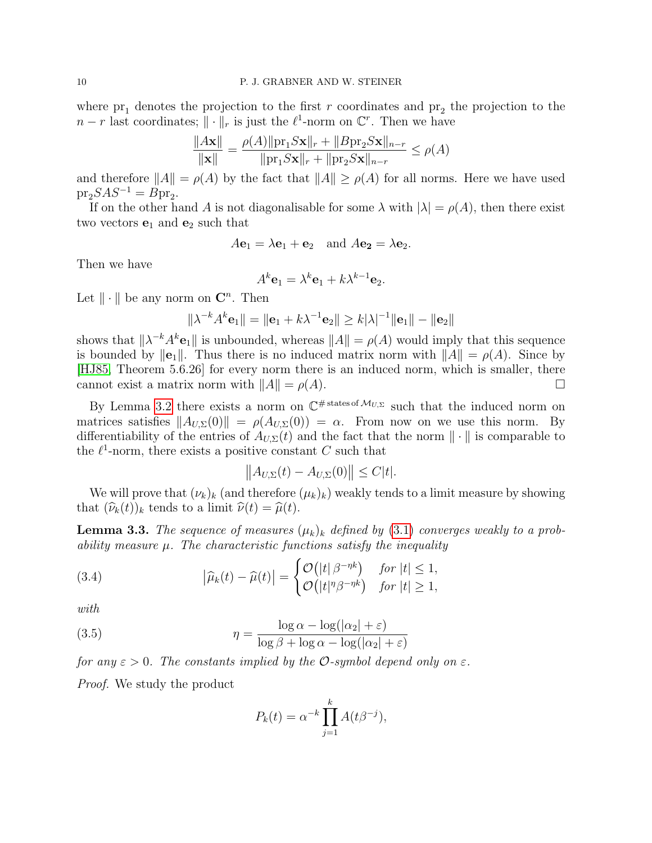where  $pr_1$  denotes the projection to the first r coordinates and  $pr_2$  the projection to the  $n-r$  last coordinates;  $\|\cdot\|_r$  is just the  $\ell^1$ -norm on  $\mathbb{C}^r$ . Then we have

$$
\frac{\|A\mathbf{x}\|}{\|\mathbf{x}\|} = \frac{\rho(A)\|p\mathbf{r}_1 S\mathbf{x}\|_r + \|Bp\mathbf{r}_2 S\mathbf{x}\|_{n-r}}{\|p\mathbf{r}_1 S\mathbf{x}\|_r + \|p\mathbf{r}_2 S\mathbf{x}\|_{n-r}} \le \rho(A)
$$

and therefore  $||A|| = \rho(A)$  by the fact that  $||A|| \ge \rho(A)$  for all norms. Here we have used  $pr_2SAS^{-1} = Bpr_2.$ 

If on the other hand A is not diagonalisable for some  $\lambda$  with  $|\lambda| = \rho(A)$ , then there exist two vectors  $e_1$  and  $e_2$  such that

$$
A\mathbf{e}_1 = \lambda \mathbf{e}_1 + \mathbf{e}_2
$$
 and  $A\mathbf{e}_2 = \lambda \mathbf{e}_2$ .

Then we have

$$
A^k \mathbf{e}_1 = \lambda^k \mathbf{e}_1 + k \lambda^{k-1} \mathbf{e}_2.
$$

Let  $\|\cdot\|$  be any norm on  $\mathbb{C}^n$ . Then

$$
\|\lambda^{-k}A^{k}\mathbf{e}_{1}\| = \|\mathbf{e}_{1} + k\lambda^{-1}\mathbf{e}_{2}\| \geq k|\lambda|^{-1}\|\mathbf{e}_{1}\| - \|\mathbf{e}_{2}\|
$$

shows that  $\|\lambda^{-k}A^k\mathbf{e}_1\|$  is unbounded, whereas  $\|A\| = \rho(A)$  would imply that this sequence is bounded by  $\|\mathbf{e}_1\|$ . Thus there is no induced matrix norm with  $\|A\| = \rho(A)$ . Since by [\[HJ85,](#page-18-15) Theorem 5.6.26] for every norm there is an induced norm, which is smaller, there cannot exist a matrix norm with  $||A|| = \rho(A)$ .

By Lemma [3.2](#page-8-1) there exists a norm on  $\mathbb{C}^{\#{\text{states of }}\mathcal{M}_{U,\Sigma}}$  such that the induced norm on matrices satisfies  $||A_{U,\Sigma}(0)|| = \rho(A_{U,\Sigma}(0)) = \alpha$ . From now on we use this norm. By differentiability of the entries of  $A_{U,\Sigma}(t)$  and the fact that the norm  $\|\cdot\|$  is comparable to the  $\ell^1$ -norm, there exists a positive constant C such that

<span id="page-9-0"></span>
$$
||A_{U,\Sigma}(t) - A_{U,\Sigma}(0)|| \le C|t|.
$$

We will prove that  $(\nu_k)_k$  (and therefore  $(\mu_k)_k$ ) weakly tends to a limit measure by showing that  $(\widehat{\nu}_k(t))_k$  tends to a limit  $\widehat{\nu}(t) = \widehat{\mu}(t)$ .

<span id="page-9-1"></span>**Lemma 3.3.** The sequence of measures  $(\mu_k)_k$  defined by [\(3.1\)](#page-7-1) converges weakly to a probability measure  $\mu$ . The characteristic functions satisfy the inequality

(3.4) 
$$
\left|\widehat{\mu}_{k}(t) - \widehat{\mu}(t)\right| = \begin{cases} \mathcal{O}\left(|t| \beta^{-\eta k}\right) & \text{for } |t| \leq 1, \\ \mathcal{O}\left(|t|^{\eta} \beta^{-\eta k}\right) & \text{for } |t| \geq 1, \end{cases}
$$

with

(3.5) 
$$
\eta = \frac{\log \alpha - \log(|\alpha_2| + \varepsilon)}{\log \beta + \log \alpha - \log(|\alpha_2| + \varepsilon)}
$$

for any  $\varepsilon > 0$ . The constants implied by the O-symbol depend only on  $\varepsilon$ . Proof. We study the product

<span id="page-9-2"></span>
$$
P_k(t) = \alpha^{-k} \prod_{j=1}^k A(t\beta^{-j}),
$$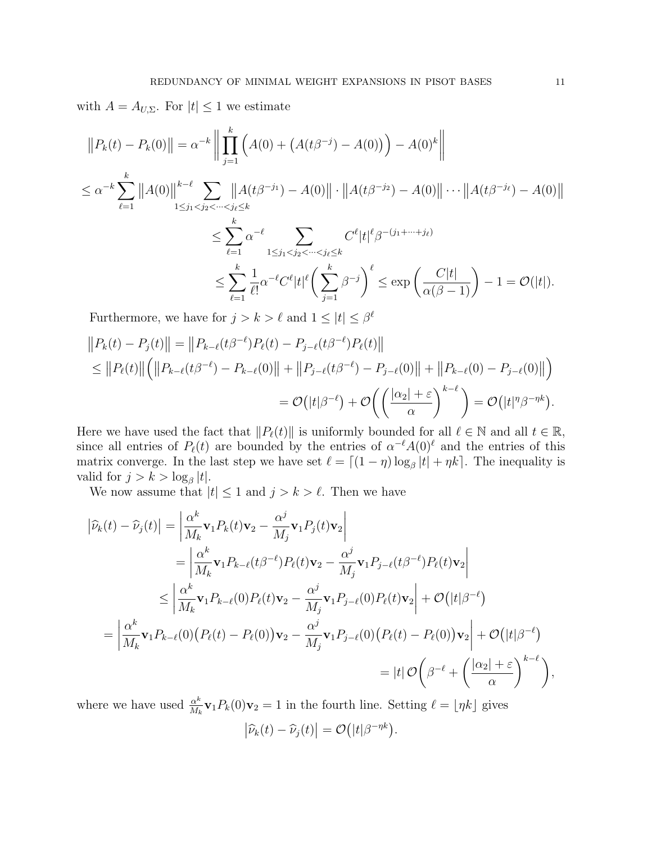with  $A = A_{U,\Sigma}$ . For  $|t| \leq 1$  we estimate

$$
||P_k(t) - P_k(0)|| = \alpha^{-k} \left\| \prod_{j=1}^k \left( A(0) + \left( A(t\beta^{-j}) - A(0) \right) \right) - A(0)^k \right\|
$$
  
\n
$$
\leq \alpha^{-k} \sum_{\ell=1}^k ||A(0)||^{k-\ell} \sum_{1 \leq j_1 < j_2 < \dots < j_\ell \leq k} ||A(t\beta^{-j_1}) - A(0)|| \cdot ||A(t\beta^{-j_2}) - A(0)|| \cdots ||A(t\beta^{-j_\ell}) - A(0)||
$$
  
\n
$$
\leq \sum_{\ell=1}^k \alpha^{-\ell} \sum_{1 \leq j_1 < j_2 < \dots < j_\ell \leq k} C^{\ell} |t|^{\ell} \beta^{-(j_1 + \dots + j_\ell)}
$$
  
\n
$$
\leq \sum_{\ell=1}^k \frac{1}{\ell!} \alpha^{-\ell} C^{\ell} |t|^{\ell} \left( \sum_{j=1}^k \beta^{-j} \right)^{\ell} \leq \exp \left( \frac{C|t|}{\alpha(\beta - 1)} \right) - 1 = \mathcal{O}(|t|).
$$

Furthermore, we have for  $j > k > \ell$  and  $1 \leq |t| \leq \beta^{\ell}$ 

$$
||P_k(t) - P_j(t)|| = ||P_{k-\ell}(t\beta^{-\ell})P_\ell(t) - P_{j-\ell}(t\beta^{-\ell})P_\ell(t)||
$$
  
\n
$$
\leq ||P_\ell(t)|| (||P_{k-\ell}(t\beta^{-\ell}) - P_{k-\ell}(0)|| + ||P_{j-\ell}(t\beta^{-\ell}) - P_{j-\ell}(0)|| + ||P_{k-\ell}(0) - P_{j-\ell}(0)||)
$$
  
\n
$$
= \mathcal{O}(|t|\beta^{-\ell}) + \mathcal{O}\left(\left(\frac{|\alpha_2| + \varepsilon}{\alpha}\right)^{k-\ell}\right) = \mathcal{O}(|t|\eta\beta^{-\eta k}).
$$

Here we have used the fact that  $||P_{\ell}(t)||$  is uniformly bounded for all  $\ell \in \mathbb{N}$  and all  $t \in \mathbb{R}$ , since all entries of  $P_{\ell}(t)$  are bounded by the entries of  $\alpha^{-\ell}A(0)^{\ell}$  and the entries of this matrix converge. In the last step we have set  $\ell = \lfloor (1 - \eta) \log_{\beta} |t| + \eta k \rfloor$ . The inequality is valid for  $j > k > \log_{\beta} |t|$ .

We now assume that  $|t| \leq 1$  and  $j > k > \ell$ . Then we have

$$
\left| \widehat{\nu}_{k}(t) - \widehat{\nu}_{j}(t) \right| = \left| \frac{\alpha^{k}}{M_{k}} \mathbf{v}_{1} P_{k}(t) \mathbf{v}_{2} - \frac{\alpha^{j}}{M_{j}} \mathbf{v}_{1} P_{j}(t) \mathbf{v}_{2} \right|
$$
  
\n
$$
= \left| \frac{\alpha^{k}}{M_{k}} \mathbf{v}_{1} P_{k-\ell}(t \beta^{-\ell}) P_{\ell}(t) \mathbf{v}_{2} - \frac{\alpha^{j}}{M_{j}} \mathbf{v}_{1} P_{j-\ell}(t \beta^{-\ell}) P_{\ell}(t) \mathbf{v}_{2} \right|
$$
  
\n
$$
\leq \left| \frac{\alpha^{k}}{M_{k}} \mathbf{v}_{1} P_{k-\ell}(0) P_{\ell}(t) \mathbf{v}_{2} - \frac{\alpha^{j}}{M_{j}} \mathbf{v}_{1} P_{j-\ell}(0) P_{\ell}(t) \mathbf{v}_{2} \right| + \mathcal{O}(|t| \beta^{-\ell})
$$
  
\n
$$
= \left| \frac{\alpha^{k}}{M_{k}} \mathbf{v}_{1} P_{k-\ell}(0) (P_{\ell}(t) - P_{\ell}(0)) \mathbf{v}_{2} - \frac{\alpha^{j}}{M_{j}} \mathbf{v}_{1} P_{j-\ell}(0) (P_{\ell}(t) - P_{\ell}(0)) \mathbf{v}_{2} \right| + \mathcal{O}(|t| \beta^{-\ell})
$$
  
\n
$$
= |t| \mathcal{O} \left( \beta^{-\ell} + \left( \frac{|\alpha_{2}| + \varepsilon}{\alpha} \right)^{k-\ell} \right),
$$

where we have used  $\frac{\alpha^k}{M}$  $\frac{\alpha^k}{M_k}$ **v**<sub>1</sub> $P_k(0)$ **v**<sub>2</sub> = 1 in the fourth line. Setting  $\ell = \lfloor \eta k \rfloor$  gives  $\left| \widehat{\nu}_k(t) - \widehat{\nu}_j(t) \right| = \mathcal{O}(|t| \beta^{-\eta k}).$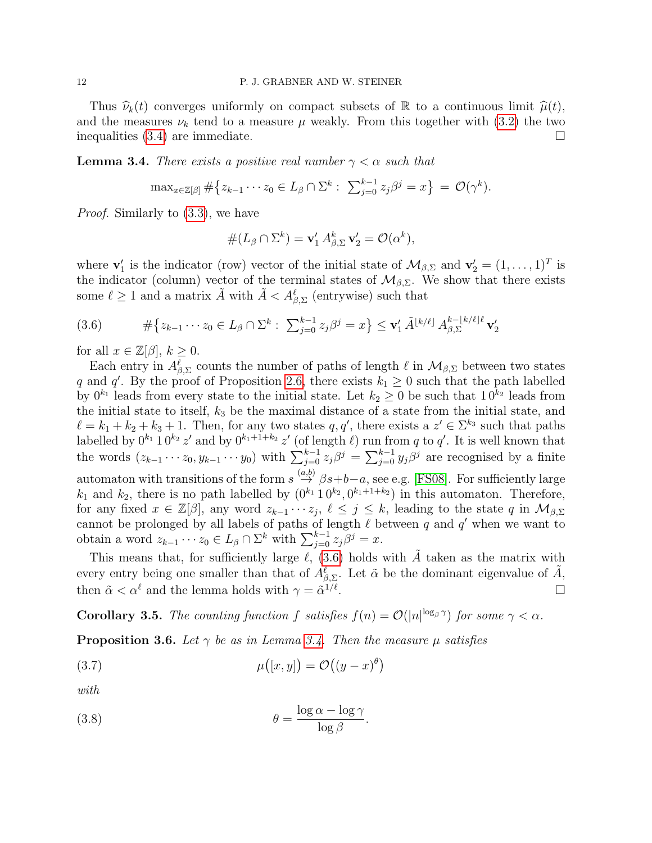Thus  $\hat{\nu}_k(t)$  converges uniformly on compact subsets of R to a continuous limit  $\hat{\mu}(t)$ , and the measures  $\nu_k$  tend to a measure  $\mu$  weakly. From this together with [\(3.2\)](#page-7-2) the two inequalities  $(3.4)$  are immediate.

<span id="page-11-1"></span>**Lemma 3.4.** There exists a positive real number  $\gamma < \alpha$  such that

$$
\max_{x \in \mathbb{Z}[\beta]} \# \left\{ z_{k-1} \cdots z_0 \in L_\beta \cap \Sigma^k : \sum_{j=0}^{k-1} z_j \beta^j = x \right\} = \mathcal{O}(\gamma^k).
$$

Proof. Similarly to [\(3.3\)](#page-8-2), we have

$$
#(L_{\beta} \cap \Sigma^{k}) = \mathbf{v}'_{1} A^{k}_{\beta, \Sigma} \mathbf{v}'_{2} = \mathcal{O}(\alpha^{k}),
$$

where  $\mathbf{v}'_1$  is the indicator (row) vector of the initial state of  $\mathcal{M}_{\beta,\Sigma}$  and  $\mathbf{v}'_2 = (1,\ldots,1)^T$  is the indicator (column) vector of the terminal states of  $\mathcal{M}_{\beta,\Sigma}$ . We show that there exists some  $\ell \geq 1$  and a matrix  $\tilde{A}$  with  $\tilde{A} < A_{\beta, \Sigma}^{\ell}$  (entrywise) such that

<span id="page-11-0"></span>
$$
(3.6) \t#{\{z_{k-1} \cdots z_0 \in L_\beta \cap \Sigma^k : \sum_{j=0}^{k-1} z_j \beta^j = x\}} \leq \mathbf{v}'_1 \tilde{A}^{\lfloor k/\ell \rfloor} A_{\beta, \Sigma}^{k - \lfloor k/\ell \rfloor \ell} \mathbf{v}'_2
$$

for all  $x \in \mathbb{Z}[\beta], k \geq 0$ .

Each entry in  $A_{\beta,\Sigma}^{\ell}$  counts the number of paths of length  $\ell$  in  $\mathcal{M}_{\beta,\Sigma}$  between two states q and q'. By the proof of Proposition [2.6,](#page-5-1) there exists  $k_1 \geq 0$  such that the path labelled by  $0^{k_1}$  leads from every state to the initial state. Let  $k_2 \geq 0$  be such that  $10^{k_2}$  leads from the initial state to itself,  $k_3$  be the maximal distance of a state from the initial state, and  $\ell = k_1 + k_2 + k_3 + 1$ . Then, for any two states  $q, q'$ , there exists a  $z' \in \Sigma^{k_3}$  such that paths labelled by  $0^{k_1} 1 0^{k_2} z'$  and by  $0^{k_1+1+k_2} z'$  (of length  $\ell$ ) run from q to q'. It is well known that the words  $(z_{k-1} \cdots z_0, y_{k-1} \cdots y_0)$  with  $\sum_{j=0}^{k-1} z_j \beta^j = \sum_{j=0}^{k-1} y_j \beta^j$  are recognised by a finite automaton with transitions of the form  $s \stackrel{(a,b)}{\rightarrow} \beta s+b-a$ , see e.g. [\[FS08\]](#page-18-5). For sufficiently large  $k_1$  and  $k_2$ , there is no path labelled by  $(0^{k_1} 1 0^{k_2}, 0^{k_1+1+k_2})$  in this automaton. Therefore, for any fixed  $x \in \mathbb{Z}[\beta],$  any word  $z_{k-1} \cdots z_j$ ,  $\ell \leq j \leq k$ , leading to the state q in  $\mathcal{M}_{\beta, \Sigma}$ cannot be prolonged by all labels of paths of length  $\ell$  between q and  $q'$  when we want to obtain a word  $z_{k-1} \cdots z_0 \in L_\beta \cap \Sigma^k$  with  $\sum_{j=0}^{k-1} z_j \beta^j = x$ .

This means that, for sufficiently large  $\ell$ , [\(3.6\)](#page-11-0) holds with  $\tilde{A}$  taken as the matrix with every entry being one smaller than that of  $A_{\beta,\Sigma}^{\ell}$ . Let  $\tilde{\alpha}$  be the dominant eigenvalue of  $\tilde{A}$ , then  $\tilde{\alpha} < \alpha^{\ell}$  and the lemma holds with  $\gamma = \tilde{\alpha}^{1/\ell}$ .

**Corollary 3.5.** The counting function f satisfies  $f(n) = \mathcal{O}(|n|^{\log_{\beta} \gamma})$  for some  $\gamma < \alpha$ .

<span id="page-11-3"></span>**Proposition 3.6.** Let  $\gamma$  be as in Lemma [3.4.](#page-11-1) Then the measure  $\mu$  satisfies

<span id="page-11-2"></span>
$$
\mu([x, y]) = \mathcal{O}((y - x)^{\theta})
$$

with

<span id="page-11-4"></span>(3.8) 
$$
\theta = \frac{\log \alpha - \log \gamma}{\log \beta}.
$$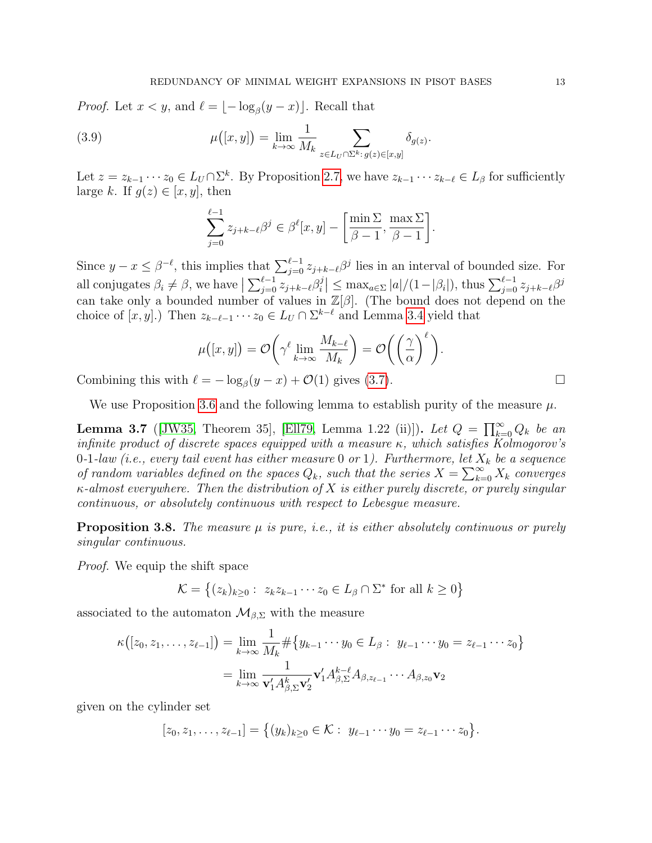*Proof.* Let  $x < y$ , and  $\ell = \lfloor -\log_{\beta}(y - x) \rfloor$ . Recall that

(3.9) 
$$
\mu([x,y]) = \lim_{k \to \infty} \frac{1}{M_k} \sum_{z \in L_U \cap \Sigma^k : g(z) \in [x,y]} \delta_{g(z)}.
$$

Let  $z = z_{k-1} \cdots z_0 \in L_U \cap \Sigma^k$ . By Proposition [2.7,](#page-6-1) we have  $z_{k-1} \cdots z_{k-\ell} \in L_\beta$  for sufficiently large k. If  $g(z) \in [x, y]$ , then

<span id="page-12-1"></span>
$$
\sum_{j=0}^{\ell-1} z_{j+k-\ell} \beta^j \in \beta^{\ell}[x, y] - \left[\frac{\min \Sigma}{\beta - 1}, \frac{\max \Sigma}{\beta - 1}\right].
$$

Since  $y - x \leq \beta^{-\ell}$ , this implies that  $\sum_{j=0}^{\ell-1} z_{j+k-\ell} \beta^j$  lies in an interval of bounded size. For all conjugates  $\beta_i \neq \beta$ , we have  $\sum_{j=0}^{\ell-1} z_{j+k-\ell} \beta_i^j$  $\left| \sum_{i=1}^{j} \right| \leq \max_{a \in \Sigma} |a|/(1-|\beta_i|),$  thus  $\sum_{j=0}^{\ell-1} z_{j+k-\ell} \beta^j$ can take only a bounded number of values in  $\mathbb{Z}[\beta]$ . (The bound does not depend on the choice of  $[x, y]$ .) Then  $z_{k-\ell-1} \cdots z_0 \in L_U \cap \Sigma^{k-\ell}$  and Lemma [3.4](#page-11-1) yield that

$$
\mu([x, y]) = \mathcal{O}\bigg(\gamma^{\ell} \lim_{k \to \infty} \frac{M_{k-\ell}}{M_k}\bigg) = \mathcal{O}\bigg(\bigg(\frac{\gamma}{\alpha}\bigg)^{\ell}\bigg).
$$

Combining this with  $\ell = -\log_{\beta}(y - x) + \mathcal{O}(1)$  gives [\(3.7\)](#page-11-2).

We use Proposition [3.6](#page-11-3) and the following lemma to establish purity of the measure  $\mu$ .

<span id="page-12-0"></span>**Lemma 3.7** ([\[JW35,](#page-18-16) Theorem 35], [\[Ell79,](#page-18-17) Lemma 1.22 (ii)]). Let  $Q = \prod_{k=0}^{\infty} Q_k$  be an infinite product of discrete spaces equipped with a measure  $\kappa$ , which satisfies Kolmogorov's 0-1-law (i.e., every tail event has either measure 0 or 1). Furthermore, let  $X_k$  be a sequence of random variables defined on the spaces  $Q_k$ , such that the series  $X = \sum_{k=0}^{\infty} X_k$  converges  $\kappa$ -almost everywhere. Then the distribution of X is either purely discrete, or purely singular continuous, or absolutely continuous with respect to Lebesgue measure.

**Proposition 3.8.** The measure  $\mu$  is pure, i.e., it is either absolutely continuous or purely singular continuous.

Proof. We equip the shift space

$$
\mathcal{K} = \left\{ (z_k)_{k \ge 0} : z_k z_{k-1} \cdots z_0 \in L_\beta \cap \Sigma^* \text{ for all } k \ge 0 \right\}
$$

associated to the automaton  $\mathcal{M}_{\beta,\Sigma}$  with the measure

$$
\kappa([z_0, z_1, \dots, z_{\ell-1}]) = \lim_{k \to \infty} \frac{1}{M_k} \# \{ y_{k-1} \cdots y_0 \in L_\beta : y_{\ell-1} \cdots y_0 = z_{\ell-1} \cdots z_0 \}
$$
  
= 
$$
\lim_{k \to \infty} \frac{1}{\mathbf{v}_1' A_{\beta, \Sigma}^k \mathbf{v}_2'} \mathbf{v}_1' A_{\beta, \Sigma}^{k-\ell} A_{\beta, z_{\ell-1}} \cdots A_{\beta, z_0} \mathbf{v}_2
$$

given on the cylinder set

$$
[z_0, z_1, \ldots, z_{\ell-1}] = \{(y_k)_{k \geq 0} \in \mathcal{K} : y_{\ell-1} \cdots y_0 = z_{\ell-1} \cdots z_0\}.
$$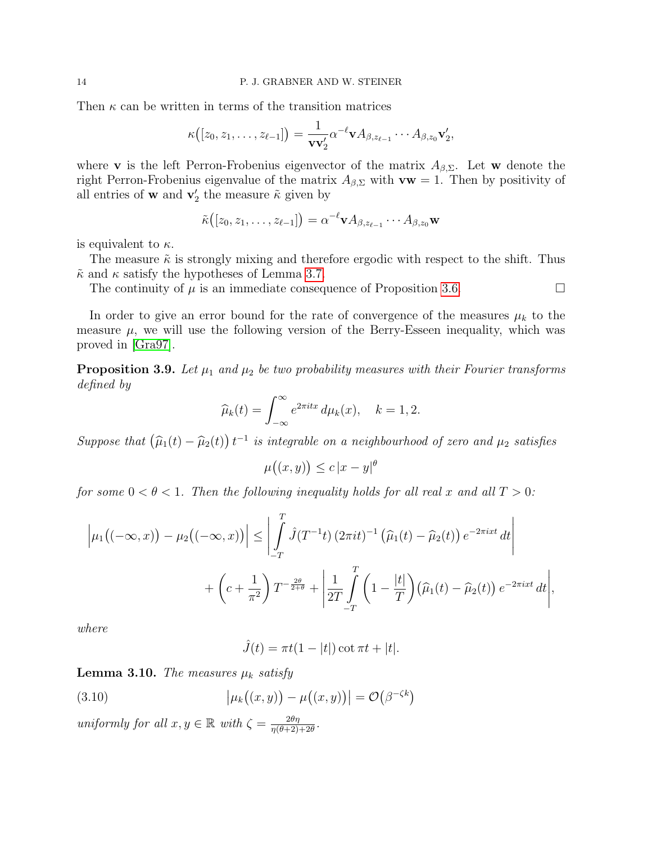Then  $\kappa$  can be written in terms of the transition matrices

$$
\kappa([z_0,z_1,\ldots,z_{\ell-1}])=\frac{1}{\mathbf{v}\mathbf{v}_2'}\alpha^{-\ell}\mathbf{v} A_{\beta,z_{\ell-1}}\cdots A_{\beta,z_0}\mathbf{v}_2',
$$

where **v** is the left Perron-Frobenius eigenvector of the matrix  $A_{\beta,\Sigma}$ . Let **w** denote the right Perron-Frobenius eigenvalue of the matrix  $A_{\beta,\Sigma}$  with  $\mathbf{vw} = 1$ . Then by positivity of all entries of **w** and  $\mathbf{v}'_2$  the measure  $\tilde{\kappa}$  given by

$$
\tilde{\kappa}([z_0,z_1,\ldots,z_{\ell-1}])=\alpha^{-\ell} \mathbf{v} A_{\beta,z_{\ell-1}}\cdots A_{\beta,z_0}\mathbf{w}
$$

is equivalent to  $\kappa$ .

The measure  $\tilde{\kappa}$  is strongly mixing and therefore ergodic with respect to the shift. Thus  $\tilde{\kappa}$  and  $\kappa$  satisfy the hypotheses of Lemma [3.7.](#page-12-0)

The continuity of  $\mu$  is an immediate consequence of Proposition [3.6.](#page-11-3)

In order to give an error bound for the rate of convergence of the measures  $\mu_k$  to the measure  $\mu$ , we will use the following version of the Berry-Esseen inequality, which was proved in [\[Gra97\]](#page-18-18).

<span id="page-13-0"></span>**Proposition 3.9.** Let  $\mu_1$  and  $\mu_2$  be two probability measures with their Fourier transforms defined by

$$
\widehat{\mu}_k(t) = \int_{-\infty}^{\infty} e^{2\pi i t x} d\mu_k(x), \quad k = 1, 2.
$$

Suppose that  $(\widehat{\mu}_1(t) - \widehat{\mu}_2(t)) t^{-1}$  is integrable on a neighbourhood of zero and  $\mu_2$  satisfies

$$
\mu((x, y)) \le c |x - y|^{\theta}
$$

for some  $0 < \theta < 1$ . Then the following inequality holds for all real x and all  $T > 0$ :

$$
\left|\mu_1\big((-\infty,x)\big) - \mu_2\big((-\infty,x)\big)\right| \le \left|\int_{-T}^T \hat{J}(T^{-1}t)\left(2\pi it\right)^{-1}\left(\hat{\mu}_1(t) - \hat{\mu}_2(t)\right)e^{-2\pi ixt}\,dt\right|
$$
  
+  $\left(c + \frac{1}{\pi^2}\right)T^{-\frac{2\theta}{2+\theta}} + \left|\frac{1}{2T}\int_{-T}^T \left(1 - \frac{|t|}{T}\right)\left(\hat{\mu}_1(t) - \hat{\mu}_2(t)\right)e^{-2\pi ixt}\,dt\right|$ ,

where

$$
\hat{J}(t) = \pi t(1 - |t|) \cot \pi t + |t|.
$$

<span id="page-13-1"></span>**Lemma 3.10.** The measures  $\mu_k$  satisfy

(3.10) 
$$
\left|\mu_k((x,y)) - \mu((x,y))\right| = \mathcal{O}(\beta^{-\zeta k})
$$

uniformly for all  $x, y \in \mathbb{R}$  with  $\zeta = \frac{2\theta\eta}{n(\theta+2)}$  $\frac{2\theta\eta}{\eta(\theta+2)+2\theta}$ .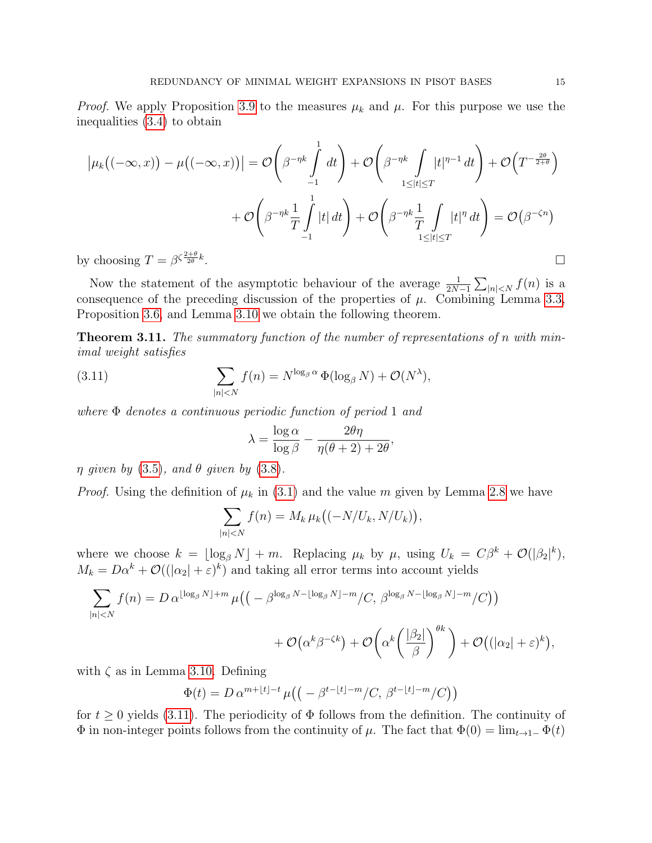*Proof.* We apply Proposition [3.9](#page-13-0) to the measures  $\mu_k$  and  $\mu$ . For this purpose we use the inequalities [\(3.4\)](#page-9-0) to obtain

$$
\left|\mu_{k}((-\infty,x)) - \mu((-\infty,x))\right| = \mathcal{O}\left(\beta^{-\eta k} \int_{-1}^{1} dt\right) + \mathcal{O}\left(\beta^{-\eta k} \int_{1 \leq |t| \leq T} |t|^{\eta-1} dt\right) + \mathcal{O}\left(T^{-\frac{2\theta}{2+\theta}}\right)
$$

$$
+ \mathcal{O}\left(\beta^{-\eta k} \frac{1}{T} \int_{-1}^{1} |t| dt\right) + \mathcal{O}\left(\beta^{-\eta k} \frac{1}{T} \int_{1 \leq |t| \leq T} |t|^{\eta} dt\right) = \mathcal{O}(\beta^{-\zeta n})
$$
  
y choosing  $T = \beta^{\zeta \frac{2+\theta}{2\theta}k}$ .

by choosing  $T = \beta^{\zeta \frac{2+\theta}{2\theta}k}$ 

Now the statement of the asymptotic behaviour of the average  $\frac{1}{2N-1}\sum_{|n| is a$ consequence of the preceding discussion of the properties of  $\mu$ . Combining Lemma [3.3,](#page-9-1) Proposition [3.6,](#page-11-3) and Lemma [3.10](#page-13-1) we obtain the following theorem.

**Theorem 3.11.** The summatory function of the number of representations of n with minimal weight satisfies

(3.11) 
$$
\sum_{|n|
$$

where Φ denotes a continuous periodic function of period 1 and

<span id="page-14-0"></span>
$$
\lambda = \frac{\log \alpha}{\log \beta} - \frac{2\theta\eta}{\eta(\theta+2) + 2\theta},
$$

 $\eta$  given by [\(3.5\)](#page-9-2), and  $\theta$  given by [\(3.8\)](#page-11-4).

*Proof.* Using the definition of  $\mu_k$  in [\(3.1\)](#page-7-1) and the value m given by Lemma [2.8](#page-6-0) we have

$$
\sum_{|n|
$$

where we choose  $k = \lfloor \log_{\beta} N \rfloor + m$ . Replacing  $\mu_k$  by  $\mu$ , using  $U_k = C\beta^k + \mathcal{O}(|\beta_2|^k)$ ,  $M_k = D\alpha^k + \mathcal{O}((|\alpha_2| + \varepsilon)^k)$  and taking all error terms into account yields

$$
\sum_{|n|
$$

with  $\zeta$  as in Lemma [3.10.](#page-13-1) Defining

$$
\Phi(t) = D \alpha^{m+\lfloor t \rfloor - t} \mu \big( \big( -\beta^{t-\lfloor t \rfloor - m} / C, \, \beta^{t-\lfloor t \rfloor - m} / C \big) \big)
$$

for  $t \geq 0$  yields [\(3.11\)](#page-14-0). The periodicity of  $\Phi$  follows from the definition. The continuity of  $\Phi$  in non-integer points follows from the continuity of  $\mu$ . The fact that  $\Phi(0) = \lim_{t \to 1^-} \Phi(t)$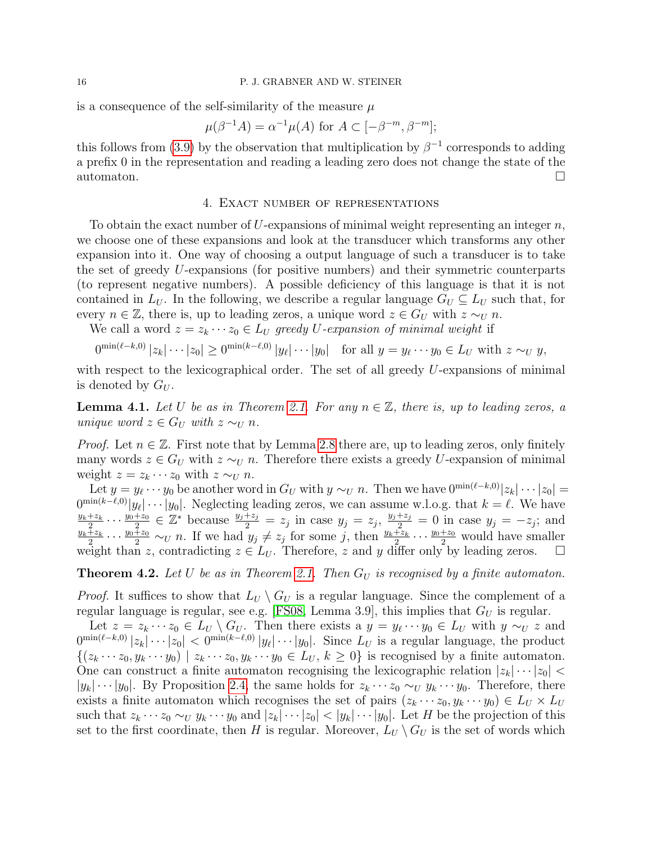#### 16 P. J. GRABNER AND W. STEINER

is a consequence of the self-similarity of the measure  $\mu$ 

$$
\mu(\beta^{-1}A) = \alpha^{-1}\mu(A) \text{ for } A \subset [-\beta^{-m}, \beta^{-m}];
$$

this follows from [\(3.9\)](#page-12-1) by the observation that multiplication by  $\beta^{-1}$  corresponds to adding a prefix 0 in the representation and reading a leading zero does not change the state of the automaton.

## 4. Exact number of representations

To obtain the exact number of U-expansions of minimal weight representing an integer  $n$ , we choose one of these expansions and look at the transducer which transforms any other expansion into it. One way of choosing a output language of such a transducer is to take the set of greedy U-expansions (for positive numbers) and their symmetric counterparts (to represent negative numbers). A possible deficiency of this language is that it is not contained in  $L_U$ . In the following, we describe a regular language  $G_U \subseteq L_U$  such that, for every  $n \in \mathbb{Z}$ , there is, up to leading zeros, a unique word  $z \in G_U$  with  $z \sim_U n$ .

We call a word  $z = z_k \cdots z_0 \in L_U$  greedy U-expansion of minimal weight if

$$
0^{\min(\ell-k,0)}|z_k|\cdots|z_0| \ge 0^{\min(k-\ell,0)}|y_\ell|\cdots|y_0| \quad \text{for all } y = y_\ell\cdots y_0 \in L_U \text{ with } z \sim_U y,
$$

with respect to the lexicographical order. The set of all greedy  $U$ -expansions of minimal is denoted by  $G_U$ .

**Lemma 4.1.** Let U be as in Theorem [2.1.](#page-2-2) For any  $n \in \mathbb{Z}$ , there is, up to leading zeros, a unique word  $z \in G_U$  with  $z \sim_U n$ .

*Proof.* Let  $n \in \mathbb{Z}$ . First note that by Lemma [2.8](#page-6-0) there are, up to leading zeros, only finitely many words  $z \in G_U$  with  $z \sim_U n$ . Therefore there exists a greedy U-expansion of minimal weight  $z = z_k \cdots z_0$  with  $z \sim_U n$ .

Let  $y = y_{\ell} \cdots y_0$  be another word in  $G_U$  with  $y \sim_U n$ . Then we have  $0^{\min(\ell-k,0)}|z_k| \cdots |z_0| =$  $0^{\min(k-\ell,0)}|y_\ell|\cdots|y_0|$ . Neglecting leading zeros, we can assume w.l.o.g. that  $k=\ell$ . We have  $y_k+z_k$  $\frac{z+z_k}{2} \cdots \frac{y_0+z_0}{2}$  $\frac{z+20}{2} \in \mathbb{Z}^*$  because  $\frac{y_j+z_j}{2} = z_j$  in case  $y_j = z_j$ ,  $\frac{y_j+z_j}{2} = 0$  in case  $y_j = -z_j$ ; and  $y_k+z_k$  $\frac{\bar{z}}{2} \cdots \frac{y_0 \bar{z}_0}{2} \sim_U n$ . If we had  $y_j \neq z_j$  for some j, then  $\frac{y_k+z_k}{2} \cdots \frac{y_0+z_0}{2}$  would have smaller weight than z, contradicting  $z \in L_U$ . Therefore, z and y differ only by leading zeros.  $\square$ 

<span id="page-15-0"></span>**Theorem 4.2.** Let U be as in Theorem [2.1.](#page-2-2) Then  $G_U$  is recognised by a finite automaton.

*Proof.* It suffices to show that  $L_U \setminus G_U$  is a regular language. Since the complement of a regular language is regular, see e.g. [\[FS08,](#page-18-5) Lemma 3.9], this implies that  $G_U$  is regular.

Let  $z = z_k \cdots z_0 \in L_U \setminus G_U$ . Then there exists a  $y = y_\ell \cdots y_0 \in L_U$  with  $y \sim_U z$  and  $0^{\min(\ell-k,0)}|z_k|\cdots|z_0|<0^{\min(k-\ell,0)}|y_\ell|\cdots|y_0|$ . Since  $L_U$  is a regular language, the product  $\{(z_k \cdots z_0, y_k \cdots y_0) \mid z_k \cdots z_0, y_k \cdots y_0 \in L_U, k \geq 0\}$  is recognised by a finite automaton. One can construct a finite automaton recognising the lexicographic relation  $|z_k| \cdots |z_0|$  $|y_k| \cdots |y_0|$ . By Proposition [2.4,](#page-3-5) the same holds for  $z_k \cdots z_0 \sim_U y_k \cdots y_0$ . Therefore, there exists a finite automaton which recognises the set of pairs  $(z_k \cdots z_0, y_k \cdots y_0) \in L_U \times L_U$ such that  $z_k \cdots z_0 \sim_U y_k \cdots y_0$  and  $|z_k| \cdots |z_0| < |y_k| \cdots |y_0|$ . Let H be the projection of this set to the first coordinate, then H is regular. Moreover,  $L_U \setminus G_U$  is the set of words which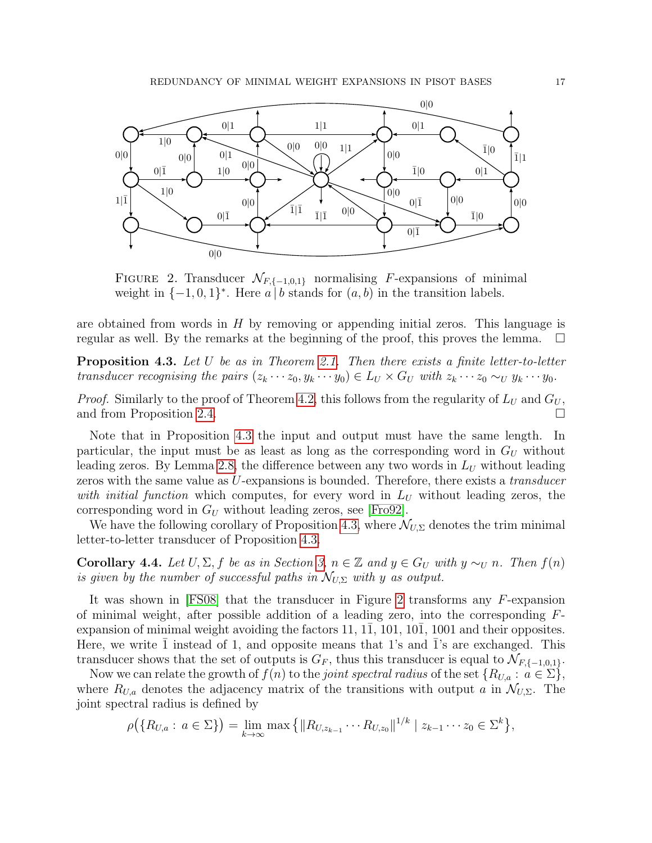

<span id="page-16-1"></span>FIGURE 2. Transducer  $\mathcal{N}_{F,\{-1,0,1\}}$  normalising F-expansions of minimal weight in  $\{-1,0,1\}^*$ . Here a b stands for  $(a, b)$  in the transition labels.

are obtained from words in  $H$  by removing or appending initial zeros. This language is regular as well. By the remarks at the beginning of the proof, this proves the lemma.  $\square$ 

<span id="page-16-0"></span>**Proposition 4.3.** Let U be as in Theorem [2.1.](#page-2-2) Then there exists a finite letter-to-letter transducer recognising the pairs  $(z_k \cdots z_0, y_k \cdots y_0) \in L_U \times G_U$  with  $z_k \cdots z_0 \sim_U y_k \cdots y_0$ .

*Proof.* Similarly to the proof of Theorem [4.2,](#page-15-0) this follows from the regularity of  $L_U$  and  $G_U$ , and from Proposition [2.4.](#page-3-5)

Note that in Proposition [4.3](#page-16-0) the input and output must have the same length. In particular, the input must be as least as long as the corresponding word in  $G_U$  without leading zeros. By Lemma [2.8,](#page-6-0) the difference between any two words in  $L_U$  without leading zeros with the same value as U-expansions is bounded. Therefore, there exists a *transducer* with initial function which computes, for every word in  $L_U$  without leading zeros, the corresponding word in  $G_U$  without leading zeros, see [\[Fro92\]](#page-18-11).

We have the following corollary of Proposition [4.3,](#page-16-0) where  $\mathcal{N}_{U,\Sigma}$  denotes the trim minimal letter-to-letter transducer of Proposition [4.3.](#page-16-0)

<span id="page-16-2"></span>**Corollary 4.4.** Let  $U, \Sigma, f$  be as in Section [3,](#page-7-0)  $n \in \mathbb{Z}$  and  $y \in G_U$  with  $y \sim_U n$ . Then  $f(n)$ is given by the number of successful paths in  $\mathcal{N}_{U,\Sigma}$  with y as output.

It was shown in [\[FS08\]](#page-18-5) that the transducer in Figure [2](#page-16-1) transforms any F-expansion of minimal weight, after possible addition of a leading zero, into the corresponding  $F$ expansion of minimal weight avoiding the factors  $11, 11, 101, 101, 1001$  and their opposites. Here, we write  $\overline{1}$  instead of 1, and opposite means that 1's and  $\overline{1}$ 's are exchanged. This transducer shows that the set of outputs is  $G_F$ , thus this transducer is equal to  $\mathcal{N}_{F,\{-1,0,1\}}$ .

Now we can relate the growth of  $f(n)$  to the *joint spectral radius* of the set  $\{R_{U,a}: a \in \Sigma\}$ , where  $R_{U,a}$  denotes the adjacency matrix of the transitions with output a in  $\mathcal{N}_{U,\Sigma}$ . The joint spectral radius is defined by

$$
\rho\big(\{R_{U,a}: a \in \Sigma\}\big) = \lim_{k \to \infty} \max \big\{ \|R_{U,z_{k-1}} \cdots R_{U,z_0}\|^{1/k} \mid z_{k-1} \cdots z_0 \in \Sigma^k \big\},\
$$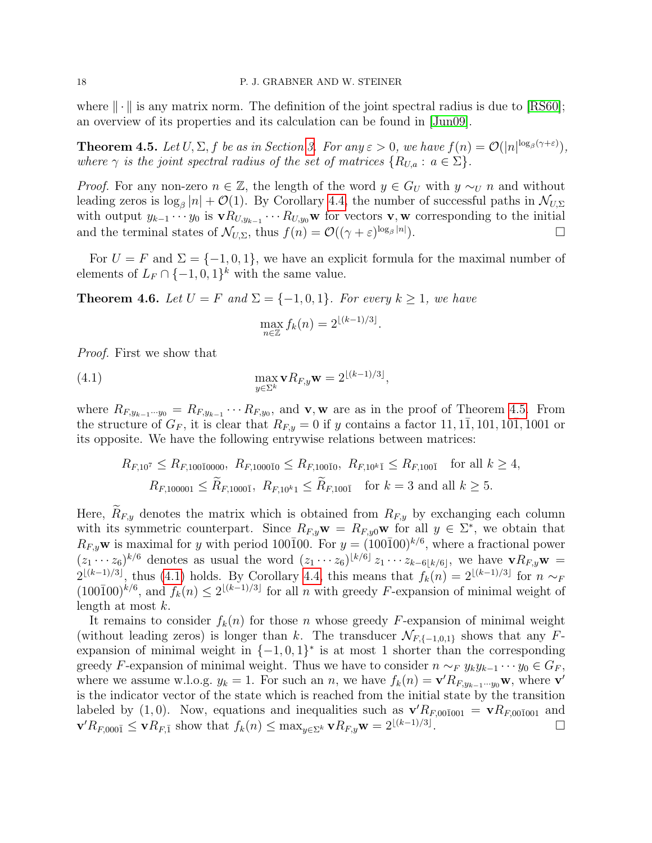where  $\|\cdot\|$  is any matrix norm. The definition of the joint spectral radius is due to [\[RS60\]](#page-18-19); an overview of its properties and its calculation can be found in [\[Jun09\]](#page-18-20).

<span id="page-17-0"></span>**Theorem 4.5.** Let  $U, \Sigma, f$  be as in Section [3.](#page-7-0) For any  $\varepsilon > 0$ , we have  $f(n) = \mathcal{O}(|n|^{\log_\beta(\gamma+\varepsilon)})$ , where  $\gamma$  is the joint spectral radius of the set of matrices  $\{R_{U,a}: a \in \Sigma\}$ .

*Proof.* For any non-zero  $n \in \mathbb{Z}$ , the length of the word  $y \in G_U$  with  $y \sim_U n$  and without leading zeros is  $\log_\beta |n| + \mathcal{O}(1)$ . By Corollary [4.4,](#page-16-2) the number of successful paths in  $\mathcal{N}_{U,\Sigma}$ with output  $y_{k-1} \cdots y_0$  is  $\mathbf{v} R_{U, y_{k-1}} \cdots R_{U, y_0} \mathbf{w}$  for vectors  $\mathbf{v}, \mathbf{w}$  corresponding to the initial and the terminal states of  $\mathcal{N}_{U,\Sigma}$ , thus  $f(n) = \mathcal{O}((\gamma + \varepsilon)^{\log_{\beta}|n|})$ ).  $\qquad \qquad \Box$ 

For  $U = F$  and  $\Sigma = \{-1, 0, 1\}$ , we have an explicit formula for the maximal number of elements of  $L_F \cap \{-1,0,1\}^k$  with the same value.

**Theorem 4.6.** Let  $U = F$  and  $\Sigma = \{-1, 0, 1\}$ . For every  $k \ge 1$ , we have

<span id="page-17-1"></span>
$$
\max_{n\in\mathbb{Z}} f_k(n) = 2^{\lfloor (k-1)/3 \rfloor}.
$$

Proof. First we show that

(4.1) 
$$
\max_{y \in \Sigma^k} \mathbf{v} R_{F,y} \mathbf{w} = 2^{\lfloor (k-1)/3 \rfloor},
$$

where  $R_{F,y_{k-1}\cdots y_0} = R_{F,y_{k-1}}\cdots R_{F,y_0}$ , and **v**, **w** are as in the proof of Theorem [4.5.](#page-17-0) From the structure of  $G_F$ , it is clear that  $R_{F,y} = 0$  if y contains a factor 11, 11, 101, 101, 1001 or its opposite. We have the following entrywise relations between matrices:

$$
R_{F,10^7} \le R_{F,100\bar{1}0000}, \ R_{F,100\bar{1}0} \le R_{F,100\bar{1}0}, \ R_{F,10^k\bar{1}} \le R_{F,100\bar{1}} \quad \text{for all } k \ge 4,
$$
  

$$
R_{F,100001} \le \widetilde{R}_{F,1000\bar{1}}, \ R_{F,10^k\bar{1}} \le \widetilde{R}_{F,100\bar{1}} \quad \text{for } k = 3 \text{ and all } k \ge 5.
$$

Here,  $R_{F,y}$  denotes the matrix which is obtained from  $R_{F,y}$  by exchanging each column with its symmetric counterpart. Since  $R_{F,y}\mathbf{w} = R_{F,y0}\mathbf{w}$  for all  $y \in \Sigma^*$ , we obtain that  $R_{F,y}$ **w** is maximal for y with period 100<sup>1</sup>00. For  $y = (100\overline{1}00)^{k/6}$ , where a fractional power  $(z_1 \cdots z_6)^{k/6}$  denotes as usual the word  $(z_1 \cdots z_6)^{\lfloor k/6 \rfloor} z_1 \cdots z_{k-6\lfloor k/6 \rfloor}$ , we have  $\mathbf{v} R_{F,y} \mathbf{w} =$  $2^{\lfloor (k-1)/3 \rfloor}$ , thus [\(4.1\)](#page-17-1) holds. By Corollary [4.4,](#page-16-2) this means that  $f_k(n) = 2^{\lfloor (k-1)/3 \rfloor}$  for  $n \sim_F$  $(100\overline{1}00)^{k/6}$ , and  $f_k(n) \leq 2^{\lfloor (k-1)/3 \rfloor}$  for all n with greedy F-expansion of minimal weight of length at most k.

It remains to consider  $f_k(n)$  for those n whose greedy F-expansion of minimal weight (without leading zeros) is longer than k. The transducer  $\mathcal{N}_{F,\{-1,0,1\}}$  shows that any Fexpansion of minimal weight in  $\{-1,0,1\}^*$  is at most 1 shorter than the corresponding greedy F-expansion of minimal weight. Thus we have to consider  $n \sim_F y_k y_{k-1} \cdots y_0 \in G_F$ , where we assume w.l.o.g.  $y_k = 1$ . For such an n, we have  $f_k(n) = \mathbf{v}' R_{F, y_{k-1} \cdots y_0} \mathbf{w}$ , where  $\mathbf{v}'$ is the indicator vector of the state which is reached from the initial state by the transition labeled by (1,0). Now, equations and inequalities such as  $\mathbf{v}'R_{F,00\bar{1}001} = \mathbf{v}R_{F,00\bar{1}001}$  and  $\mathbf{v}'R_{F,000\bar{1}} \leq \mathbf{v}R_{F,\bar{1}}$  show that  $f_k(n) \leq \max_{y \in \Sigma^k} \mathbf{v}R_{F,y}\mathbf{w} = 2^{\lfloor (k-1)/3 \rfloor}$ .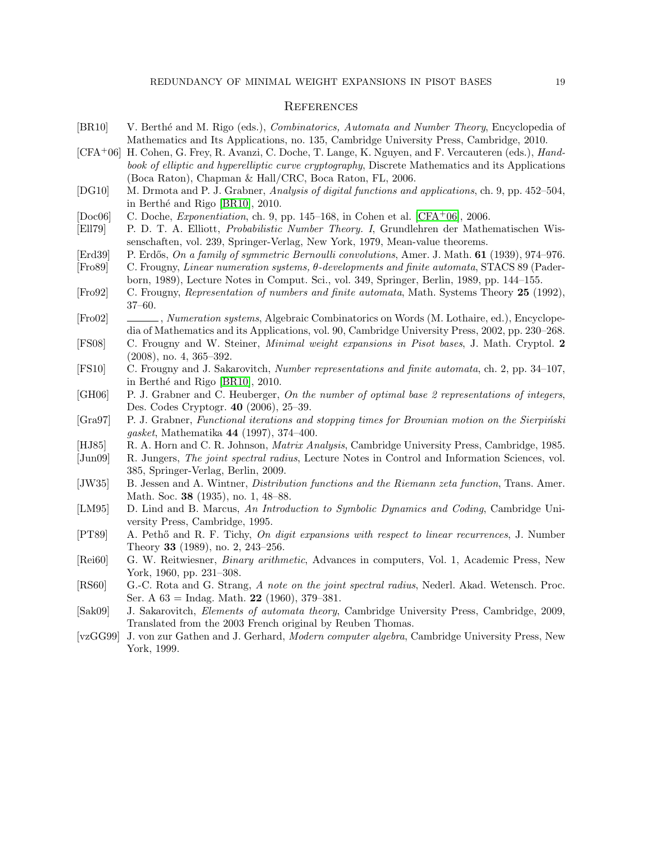# **REFERENCES**

<span id="page-18-21"></span><span id="page-18-20"></span><span id="page-18-19"></span><span id="page-18-18"></span><span id="page-18-17"></span><span id="page-18-16"></span><span id="page-18-15"></span><span id="page-18-14"></span><span id="page-18-13"></span><span id="page-18-12"></span><span id="page-18-11"></span><span id="page-18-10"></span><span id="page-18-9"></span><span id="page-18-8"></span><span id="page-18-7"></span><span id="page-18-6"></span><span id="page-18-5"></span><span id="page-18-4"></span><span id="page-18-3"></span><span id="page-18-2"></span><span id="page-18-1"></span><span id="page-18-0"></span>

| [BR10]              | V. Berthé and M. Rigo (eds.), <i>Combinatorics</i> , <i>Automata and Number Theory</i> , Encyclopedia of |
|---------------------|----------------------------------------------------------------------------------------------------------|
|                     | Mathematics and Its Applications, no. 135, Cambridge University Press, Cambridge, 2010.                  |
| $[CFA+06]$          | H. Cohen, G. Frey, R. Avanzi, C. Doche, T. Lange, K. Nguyen, and F. Vercauteren (eds.), <i>Hand-</i>     |
|                     | book of elliptic and hyperelliptic curve cryptography, Discrete Mathematics and its Applications         |
|                     | (Boca Raton), Chapman & Hall/CRC, Boca Raton, FL, 2006.                                                  |
| [DG10]              | M. Drmota and P. J. Grabner, Analysis of digital functions and applications, ch. 9, pp. 452–504,         |
|                     | in Berthé and Rigo [BR10], 2010.                                                                         |
| [Doc06]             | C. Doche, <i>Exponentiation</i> , ch. 9, pp. 145–168, in Cohen et al. [CFA <sup>+</sup> 06], 2006.       |
| [E1179]             | P. D. T. A. Elliott, Probabilistic Number Theory. I, Grundlehren der Mathematischen Wis-                 |
|                     | senschaften, vol. 239, Springer-Verlag, New York, 1979, Mean-value theorems.                             |
| Erd39               | P. Erdős, On a family of symmetric Bernoulli convolutions, Amer. J. Math. 61 (1939), 974–976.            |
| [Fro89]             | C. Frougny, Linear numeration systems, $\theta$ -developments and finite automata, STACS 89 (Pader-      |
|                     | born, 1989), Lecture Notes in Comput. Sci., vol. 349, Springer, Berlin, 1989, pp. 144-155.               |
| [Fe <sub>92</sub> ] | C. Frougny, Representation of numbers and finite automata, Math. Systems Theory 25 (1992),               |
|                     | $37 - 60.$                                                                                               |
| [Fe <sub>02</sub> ] | _, Numeration systems, Algebraic Combinatorics on Words (M. Lothaire, ed.), Encyclope-                   |
|                     | dia of Mathematics and its Applications, vol. 90, Cambridge University Press, 2002, pp. 230–268.         |
| [FS08]              | C. Frougny and W. Steiner, <i>Minimal weight expansions in Pisot bases</i> , J. Math. Cryptol. 2         |
|                     | $(2008)$ , no. 4, 365-392.                                                                               |
| [FS10]              | C. Frougny and J. Sakarovitch, Number representations and finite automata, ch. 2, pp. 34–107,            |
|                     | in Berthé and Rigo [BR10], 2010.                                                                         |
| [GH06]              | P. J. Grabner and C. Heuberger, On the number of optimal base 2 representations of integers,             |
|                     | Des. Codes Cryptogr. 40 (2006), 25-39.                                                                   |
| [Gra97]             | P. J. Grabner, Functional iterations and stopping times for Brownian motion on the Sierpiński            |
|                     | gasket, Mathematika 44 (1997), 374-400.                                                                  |
| [HJ85]              | R. A. Horn and C. R. Johnson, <i>Matrix Analysis</i> , Cambridge University Press, Cambridge, 1985.      |
| [Jun09]             | R. Jungers, The joint spectral radius, Lecture Notes in Control and Information Sciences, vol.           |
|                     | 385, Springer-Verlag, Berlin, 2009.                                                                      |
| [JW35]              | B. Jessen and A. Wintner, <i>Distribution functions and the Riemann zeta function</i> , Trans. Amer.     |
|                     | Math. Soc. 38 (1935), no. 1, 48-88.                                                                      |
| [LM95]              | D. Lind and B. Marcus, An Introduction to Symbolic Dynamics and Coding, Cambridge Uni-                   |
|                     | versity Press, Cambridge, 1995.                                                                          |
| [PT89]              | A. Pethő and R. F. Tichy, On digit expansions with respect to linear recurrences, J. Number              |
|                     | Theory 33 (1989), no. 2, 243-256.                                                                        |
| [Rei60]             | G. W. Reitwiesner, <i>Binary arithmetic</i> , Advances in computers, Vol. 1, Academic Press, New         |
|                     | York, 1960, pp. 231-308.                                                                                 |
| [RS60]              | G.-C. Rota and G. Strang, A note on the joint spectral radius, Nederl. Akad. Wetensch. Proc.             |
|                     | Ser. A $63 = \text{Indag}$ . Math. 22 (1960), 379-381.                                                   |
| [Sak09]             | J. Sakarovitch, <i>Elements of automata theory</i> , Cambridge University Press, Cambridge, 2009,        |
|                     | Translated from the 2003 French original by Reuben Thomas.                                               |
| [vcGG99]            | J. von zur Gathen and J. Gerhard, Modern computer algebra, Cambridge University Press, New               |
|                     | York, 1999.                                                                                              |